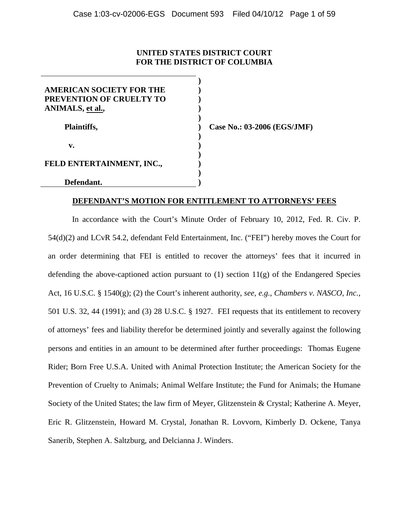# **UNITED STATES DISTRICT COURT FOR THE DISTRICT OF COLUMBIA**

| AMERICAN SOCIETY FOR THE        |  |
|---------------------------------|--|
| <b>PREVENTION OF CRUELTY TO</b> |  |
| ANIMALS, et al.,                |  |
|                                 |  |
| <b>Plaintiffs,</b>              |  |
|                                 |  |
| v.                              |  |
|                                 |  |
| FELD ENTERTAINMENT, INC.,       |  |
|                                 |  |
| Defendant.                      |  |

**Case No.: 03-2006 (EGS/JMF)** 

#### **DEFENDANT'S MOTION FOR ENTITLEMENT TO ATTORNEYS' FEES**

In accordance with the Court's Minute Order of February 10, 2012, Fed. R. Civ. P. 54(d)(2) and LCvR 54.2, defendant Feld Entertainment, Inc. ("FEI") hereby moves the Court for an order determining that FEI is entitled to recover the attorneys' fees that it incurred in defending the above-captioned action pursuant to  $(1)$  section  $11(g)$  of the Endangered Species Act, 16 U.S.C. § 1540(g); (2) the Court's inherent authority, *see, e.g.*, *Chambers v. NASCO, Inc.*, 501 U.S. 32, 44 (1991); and (3) 28 U.S.C. § 1927. FEI requests that its entitlement to recovery of attorneys' fees and liability therefor be determined jointly and severally against the following persons and entities in an amount to be determined after further proceedings: Thomas Eugene Rider; Born Free U.S.A. United with Animal Protection Institute; the American Society for the Prevention of Cruelty to Animals; Animal Welfare Institute; the Fund for Animals; the Humane Society of the United States; the law firm of Meyer, Glitzenstein & Crystal; Katherine A. Meyer, Eric R. Glitzenstein, Howard M. Crystal, Jonathan R. Lovvorn, Kimberly D. Ockene, Tanya Sanerib, Stephen A. Saltzburg, and Delcianna J. Winders.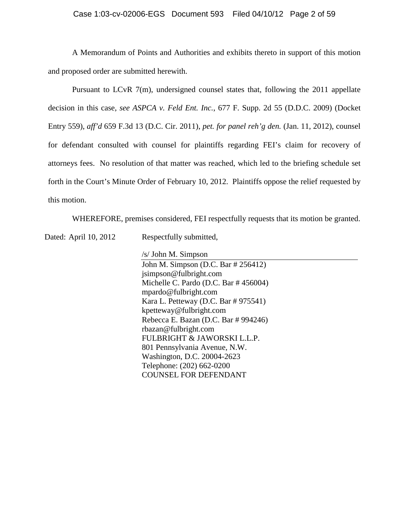A Memorandum of Points and Authorities and exhibits thereto in support of this motion and proposed order are submitted herewith.

Pursuant to LCvR 7(m), undersigned counsel states that, following the 2011 appellate decision in this case, *see ASPCA v. Feld Ent. Inc.*, 677 F. Supp. 2d 55 (D.D.C. 2009) (Docket Entry 559), *aff'd* 659 F.3d 13 (D.C. Cir. 2011), *pet. for panel reh'g den.* (Jan. 11, 2012), counsel for defendant consulted with counsel for plaintiffs regarding FEI's claim for recovery of attorneys fees. No resolution of that matter was reached, which led to the briefing schedule set forth in the Court's Minute Order of February 10, 2012. Plaintiffs oppose the relief requested by this motion.

WHEREFORE, premises considered, FEI respectfully requests that its motion be granted.

Dated: April 10, 2012 Respectfully submitted,

/s/ John M. Simpson

John M. Simpson (D.C. Bar # 256412) jsimpson@fulbright.com Michelle C. Pardo (D.C. Bar # 456004) mpardo@fulbright.com Kara L. Petteway (D.C. Bar # 975541) kpetteway@fulbright.com Rebecca E. Bazan (D.C. Bar # 994246) rbazan@fulbright.com FULBRIGHT & JAWORSKI L.L.P. 801 Pennsylvania Avenue, N.W. Washington, D.C. 20004-2623 Telephone: (202) 662-0200 COUNSEL FOR DEFENDANT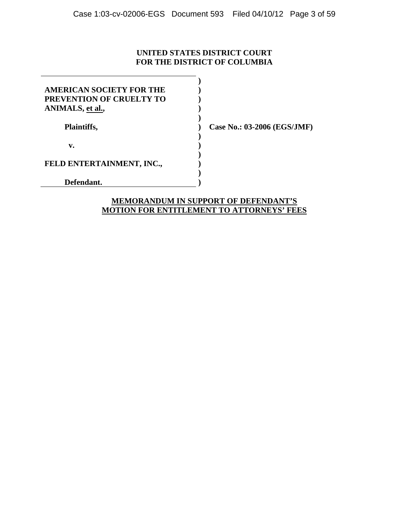# **UNITED STATES DISTRICT COURT FOR THE DISTRICT OF COLUMBIA**

| AMERICAN SOCIETY FOR THE  |  |
|---------------------------|--|
| PREVENTION OF CRUELTY TO  |  |
| ANIMALS, et al.,          |  |
|                           |  |
| Plaintiffs,               |  |
|                           |  |
| v.                        |  |
|                           |  |
| FELD ENTERTAINMENT, INC., |  |
|                           |  |
| Defendant.                |  |

**Case No.: 03-2006 (EGS/JMF)** 

# **MEMORANDUM IN SUPPORT OF DEFENDANT'S MOTION FOR ENTITLEMENT TO ATTORNEYS' FEES**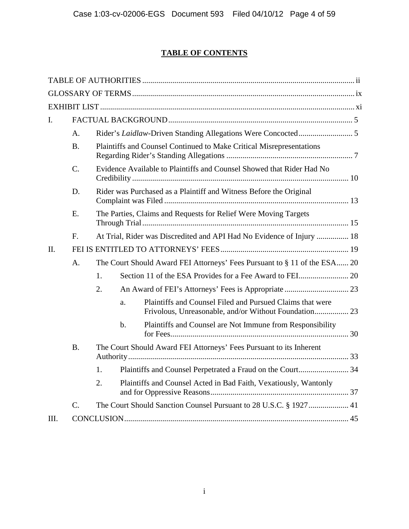# **TABLE OF CONTENTS**

| L.   |                 |    |       |                                                                                                                    |  |
|------|-----------------|----|-------|--------------------------------------------------------------------------------------------------------------------|--|
|      | А.              |    |       |                                                                                                                    |  |
|      | <b>B.</b>       |    |       | Plaintiffs and Counsel Continued to Make Critical Misrepresentations                                               |  |
|      | $\mathcal{C}$ . |    |       | Evidence Available to Plaintiffs and Counsel Showed that Rider Had No                                              |  |
|      | D.              |    |       | Rider was Purchased as a Plaintiff and Witness Before the Original                                                 |  |
|      | E.              |    |       | The Parties, Claims and Requests for Relief Were Moving Targets                                                    |  |
|      | F.              |    |       | At Trial, Rider was Discredited and API Had No Evidence of Injury  18                                              |  |
| II.  |                 |    |       |                                                                                                                    |  |
|      | A.              |    |       | The Court Should Award FEI Attorneys' Fees Pursuant to § 11 of the ESA 20                                          |  |
|      |                 | 1. |       |                                                                                                                    |  |
|      |                 | 2. |       |                                                                                                                    |  |
|      |                 |    | a.    | Plaintiffs and Counsel Filed and Pursued Claims that were<br>Frivolous, Unreasonable, and/or Without Foundation 23 |  |
|      |                 |    | $b$ . | Plaintiffs and Counsel are Not Immune from Responsibility                                                          |  |
|      | <b>B.</b>       |    |       | The Court Should Award FEI Attorneys' Fees Pursuant to its Inherent                                                |  |
|      |                 | 1. |       |                                                                                                                    |  |
|      |                 | 2. |       | Plaintiffs and Counsel Acted in Bad Faith, Vexatiously, Wantonly                                                   |  |
|      | $\mathcal{C}$ . |    |       | The Court Should Sanction Counsel Pursuant to 28 U.S.C. § 1927 41                                                  |  |
| III. |                 |    |       |                                                                                                                    |  |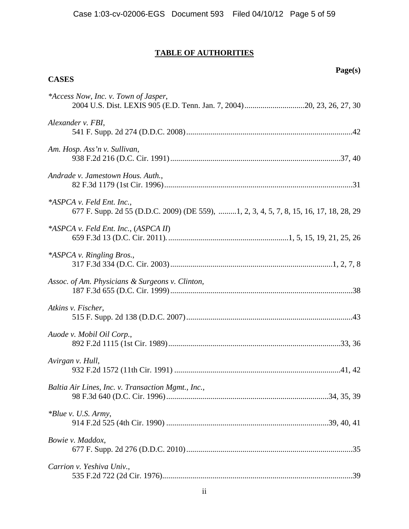# **TABLE OF AUTHORITIES**

**CASES** 

# **Page(s)**

| *Access Now, Inc. v. Town of Jasper,<br>2004 U.S. Dist. LEXIS 905 (E.D. Tenn. Jan. 7, 2004)20, 23, 26, 27, 30       |
|---------------------------------------------------------------------------------------------------------------------|
| Alexander v. FBI,                                                                                                   |
| Am. Hosp. Ass'n v. Sullivan,                                                                                        |
| Andrade v. Jamestown Hous. Auth.,                                                                                   |
| *ASPCA v. Feld Ent. Inc.,<br>677 F. Supp. 2d 55 (D.D.C. 2009) (DE 559), 1, 2, 3, 4, 5, 7, 8, 15, 16, 17, 18, 28, 29 |
| <i>*ASPCA v. Feld Ent. Inc., (ASPCA II)</i>                                                                         |
| *ASPCA v. Ringling Bros.,                                                                                           |
| Assoc. of Am. Physicians & Surgeons v. Clinton,                                                                     |
| Atkins v. Fischer,                                                                                                  |
| Auode v. Mobil Oil Corp.,                                                                                           |
| Avirgan v. Hull,                                                                                                    |
| Baltia Air Lines, Inc. v. Transaction Mgmt., Inc.,                                                                  |
| *Blue v. U.S. Army,                                                                                                 |
| Bowie v. Maddox,                                                                                                    |
| Carrion v. Yeshiva Univ.,                                                                                           |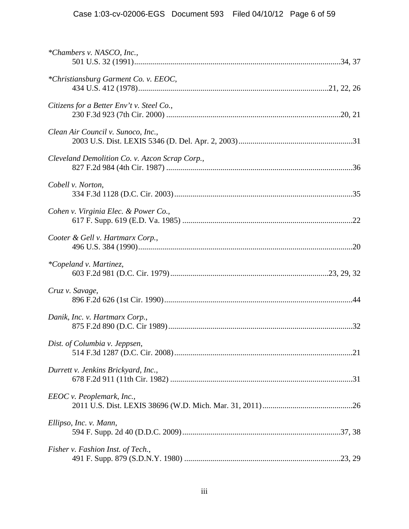| *Chambers v. NASCO, Inc.,                      |  |
|------------------------------------------------|--|
| *Christiansburg Garment Co. v. EEOC,           |  |
| Citizens for a Better Env't v. Steel Co.,      |  |
| Clean Air Council v. Sunoco, Inc.,             |  |
| Cleveland Demolition Co. v. Azcon Scrap Corp., |  |
| Cobell v. Norton,                              |  |
| Cohen v. Virginia Elec. & Power Co.,           |  |
| Cooter & Gell v. Hartmarx Corp.,               |  |
| *Copeland v. Martinez,                         |  |
| Cruz v. Savage,                                |  |
| Danik, Inc. v. Hartmarx Corp.,                 |  |
| Dist. of Columbia v. Jeppsen,                  |  |
| Durrett v. Jenkins Brickyard, Inc.,            |  |
| EEOC v. Peoplemark, Inc.,                      |  |
| Ellipso, Inc. v. Mann,                         |  |
| Fisher v. Fashion Inst. of Tech.,              |  |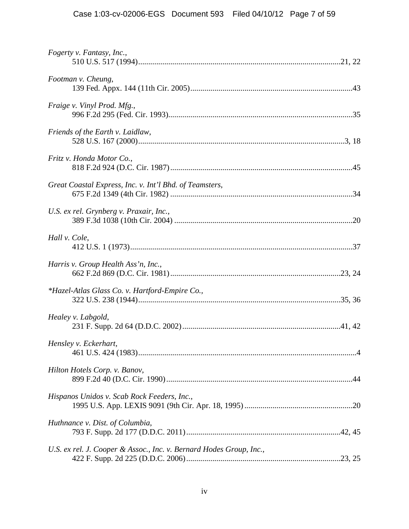| Fogerty v. Fantasy, Inc.,                                           |
|---------------------------------------------------------------------|
| Footman v. Cheung,                                                  |
| Fraige v. Vinyl Prod. Mfg.,                                         |
| Friends of the Earth v. Laidlaw,                                    |
| Fritz v. Honda Motor Co.,                                           |
| Great Coastal Express, Inc. v. Int'l Bhd. of Teamsters,             |
| U.S. ex rel. Grynberg v. Praxair, Inc.,                             |
| Hall v. Cole,                                                       |
| Harris v. Group Health Ass'n, Inc.,                                 |
| <i>*Hazel-Atlas Glass Co. v. Hartford-Empire Co.,</i>               |
| Healey v. Labgold,                                                  |
| Hensley v. Eckerhart,                                               |
| Hilton Hotels Corp. v. Banov,                                       |
| Hispanos Unidos v. Scab Rock Feeders, Inc.,                         |
| Huthnance v. Dist. of Columbia,                                     |
| U.S. ex rel. J. Cooper & Assoc., Inc. v. Bernard Hodes Group, Inc., |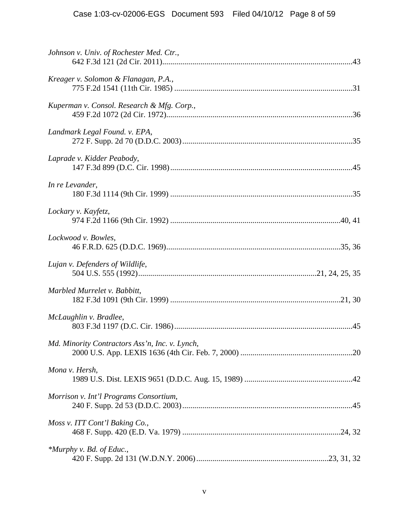| Johnson v. Univ. of Rochester Med. Ctr.,       |  |
|------------------------------------------------|--|
| Kreager v. Solomon & Flanagan, P.A.,           |  |
| Kuperman v. Consol. Research & Mfg. Corp.,     |  |
| Landmark Legal Found. v. EPA,                  |  |
| Laprade v. Kidder Peabody,                     |  |
| In re Levander,                                |  |
| Lockary v. Kayfetz,                            |  |
| Lockwood v. Bowles,                            |  |
| Lujan v. Defenders of Wildlife,                |  |
| Marbled Murrelet v. Babbitt,                   |  |
| McLaughlin v. Bradlee,                         |  |
| Md. Minority Contractors Ass'n, Inc. v. Lynch, |  |
| Mona v. Hersh,                                 |  |
| Morrison v. Int'l Programs Consortium,         |  |
| Moss v. ITT Cont'l Baking Co.,                 |  |
| *Murphy v. Bd. of Educ.,                       |  |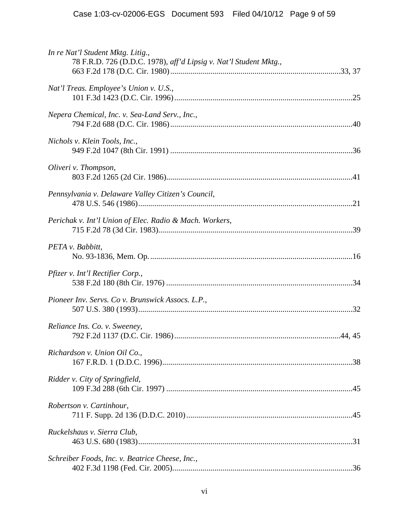| In re Nat'l Student Mktg. Litig.,<br>78 F.R.D. 726 (D.D.C. 1978), aff'd Lipsig v. Nat'l Student Mktg., |
|--------------------------------------------------------------------------------------------------------|
| Nat'l Treas. Employee's Union v. U.S.,                                                                 |
| Nepera Chemical, Inc. v. Sea-Land Serv., Inc.,                                                         |
| Nichols v. Klein Tools, Inc.,                                                                          |
| Oliveri v. Thompson,                                                                                   |
| Pennsylvania v. Delaware Valley Citizen's Council,                                                     |
| Perichak v. Int'l Union of Elec. Radio & Mach. Workers,                                                |
| PETA v. Babbitt,                                                                                       |
| Pfizer v. Int'l Rectifier Corp.,                                                                       |
| Pioneer Inv. Servs. Co v. Brunswick Assocs. L.P.,                                                      |
| Reliance Ins. Co. v. Sweeney,                                                                          |
| Richardson v. Union Oil Co.,                                                                           |
| Ridder v. City of Springfield,                                                                         |
| Robertson v. Cartinhour,                                                                               |
| Ruckelshaus v. Sierra Club,                                                                            |
| Schreiber Foods, Inc. v. Beatrice Cheese, Inc.,                                                        |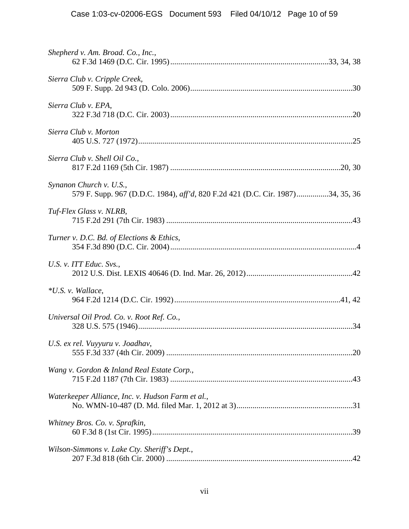| Shepherd v. Am. Broad. Co., Inc.,                                                                         |  |
|-----------------------------------------------------------------------------------------------------------|--|
| Sierra Club v. Cripple Creek,                                                                             |  |
| Sierra Club v. EPA,                                                                                       |  |
| Sierra Club v. Morton                                                                                     |  |
| Sierra Club v. Shell Oil Co.,                                                                             |  |
| Synanon Church v. U.S.,<br>579 F. Supp. 967 (D.D.C. 1984), aff'd, 820 F.2d 421 (D.C. Cir. 1987)34, 35, 36 |  |
| Tuf-Flex Glass v. NLRB,                                                                                   |  |
| Turner v. D.C. Bd. of Elections & Ethics,                                                                 |  |
| U.S. v. ITT Educ. Svs.,                                                                                   |  |
| *U.S. v. Wallace,                                                                                         |  |
| Universal Oil Prod. Co. v. Root Ref. Co.,                                                                 |  |
| U.S. ex rel. Vuyyuru v. Joadhav,                                                                          |  |
| Wang v. Gordon & Inland Real Estate Corp.,                                                                |  |
| Waterkeeper Alliance, Inc. v. Hudson Farm et al.,                                                         |  |
| Whitney Bros. Co. v. Sprafkin,                                                                            |  |
| Wilson-Simmons v. Lake Cty. Sheriff's Dept.,                                                              |  |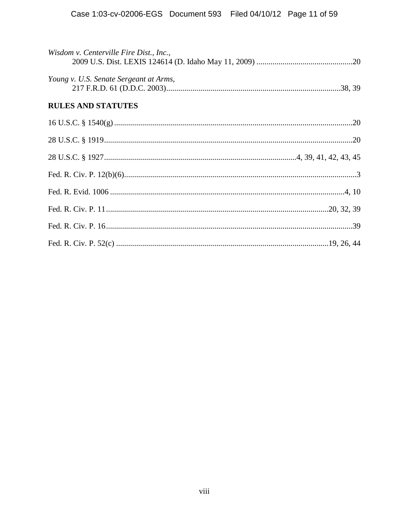| Wisdom v. Centerville Fire Dist., Inc., |
|-----------------------------------------|
| Young v. U.S. Senate Sergeant at Arms,  |
| <b>RULES AND STATUTES</b>               |
|                                         |
|                                         |
|                                         |
|                                         |
|                                         |
|                                         |
|                                         |
|                                         |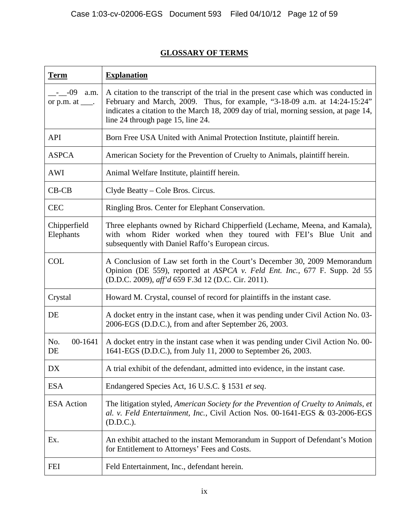# **GLOSSARY OF TERMS**

| <b>Term</b>                                       | <b>Explanation</b>                                                                                                                                                                                                                                                                               |
|---------------------------------------------------|--------------------------------------------------------------------------------------------------------------------------------------------------------------------------------------------------------------------------------------------------------------------------------------------------|
| $-$ - $-$ -09<br>a.m.<br>or $p.m.$ at $\_\_\_\$ . | A citation to the transcript of the trial in the present case which was conducted in<br>February and March, 2009. Thus, for example, "3-18-09 a.m. at 14:24-15:24"<br>indicates a citation to the March 18, 2009 day of trial, morning session, at page 14,<br>line 24 through page 15, line 24. |
| <b>API</b>                                        | Born Free USA United with Animal Protection Institute, plaintiff herein.                                                                                                                                                                                                                         |
| <b>ASPCA</b>                                      | American Society for the Prevention of Cruelty to Animals, plaintiff herein.                                                                                                                                                                                                                     |
| <b>AWI</b>                                        | Animal Welfare Institute, plaintiff herein.                                                                                                                                                                                                                                                      |
| $CB-CB$                                           | Clyde Beatty – Cole Bros. Circus.                                                                                                                                                                                                                                                                |
| <b>CEC</b>                                        | Ringling Bros. Center for Elephant Conservation.                                                                                                                                                                                                                                                 |
| Chipperfield<br>Elephants                         | Three elephants owned by Richard Chipperfield (Lechame, Meena, and Kamala),<br>with whom Rider worked when they toured with FEI's Blue Unit and<br>subsequently with Daniel Raffo's European circus.                                                                                             |
| <b>COL</b>                                        | A Conclusion of Law set forth in the Court's December 30, 2009 Memorandum<br>Opinion (DE 559), reported at ASPCA v. Feld Ent. Inc., 677 F. Supp. 2d 55<br>(D.D.C. 2009), aff'd 659 F.3d 12 (D.C. Cir. 2011).                                                                                     |
| Crystal                                           | Howard M. Crystal, counsel of record for plaintiffs in the instant case.                                                                                                                                                                                                                         |
| DE                                                | A docket entry in the instant case, when it was pending under Civil Action No. 03-<br>2006-EGS (D.D.C.), from and after September 26, 2003.                                                                                                                                                      |
| 00-1641<br>No.<br>DE                              | A docket entry in the instant case when it was pending under Civil Action No. 00-<br>1641-EGS (D.D.C.), from July 11, 2000 to September 26, 2003.                                                                                                                                                |
| DX                                                | A trial exhibit of the defendant, admitted into evidence, in the instant case.                                                                                                                                                                                                                   |
| <b>ESA</b>                                        | Endangered Species Act, 16 U.S.C. § 1531 et seq.                                                                                                                                                                                                                                                 |
| <b>ESA</b> Action                                 | The litigation styled, American Society for the Prevention of Cruelty to Animals, et<br>al. v. Feld Entertainment, Inc., Civil Action Nos. 00-1641-EGS & 03-2006-EGS<br>(D.D.C.).                                                                                                                |
| Ex.                                               | An exhibit attached to the instant Memorandum in Support of Defendant's Motion<br>for Entitlement to Attorneys' Fees and Costs.                                                                                                                                                                  |
| <b>FEI</b>                                        | Feld Entertainment, Inc., defendant herein.                                                                                                                                                                                                                                                      |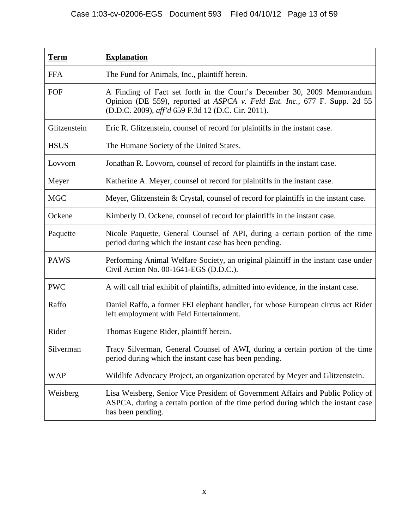| <b>Term</b>  | <b>Explanation</b>                                                                                                                                                                                         |
|--------------|------------------------------------------------------------------------------------------------------------------------------------------------------------------------------------------------------------|
| <b>FFA</b>   | The Fund for Animals, Inc., plaintiff herein.                                                                                                                                                              |
| FOF          | A Finding of Fact set forth in the Court's December 30, 2009 Memorandum<br>Opinion (DE 559), reported at ASPCA v. Feld Ent. Inc., 677 F. Supp. 2d 55<br>(D.D.C. 2009), aff'd 659 F.3d 12 (D.C. Cir. 2011). |
| Glitzenstein | Eric R. Glitzenstein, counsel of record for plaintiffs in the instant case.                                                                                                                                |
| <b>HSUS</b>  | The Humane Society of the United States.                                                                                                                                                                   |
| Lovvorn      | Jonathan R. Lovvorn, counsel of record for plaintiffs in the instant case.                                                                                                                                 |
| Meyer        | Katherine A. Meyer, counsel of record for plaintiffs in the instant case.                                                                                                                                  |
| <b>MGC</b>   | Meyer, Glitzenstein & Crystal, counsel of record for plaintiffs in the instant case.                                                                                                                       |
| Ockene       | Kimberly D. Ockene, counsel of record for plaintiffs in the instant case.                                                                                                                                  |
| Paquette     | Nicole Paquette, General Counsel of API, during a certain portion of the time<br>period during which the instant case has been pending.                                                                    |
| <b>PAWS</b>  | Performing Animal Welfare Society, an original plaintiff in the instant case under<br>Civil Action No. 00-1641-EGS (D.D.C.).                                                                               |
| <b>PWC</b>   | A will call trial exhibit of plaintiffs, admitted into evidence, in the instant case.                                                                                                                      |
| Raffo        | Daniel Raffo, a former FEI elephant handler, for whose European circus act Rider<br>left employment with Feld Entertainment.                                                                               |
| Rider        | Thomas Eugene Rider, plaintiff herein.                                                                                                                                                                     |
| Silverman    | Tracy Silverman, General Counsel of AWI, during a certain portion of the time<br>period during which the instant case has been pending.                                                                    |
| <b>WAP</b>   | Wildlife Advocacy Project, an organization operated by Meyer and Glitzenstein.                                                                                                                             |
| Weisberg     | Lisa Weisberg, Senior Vice President of Government Affairs and Public Policy of<br>ASPCA, during a certain portion of the time period during which the instant case<br>has been pending.                   |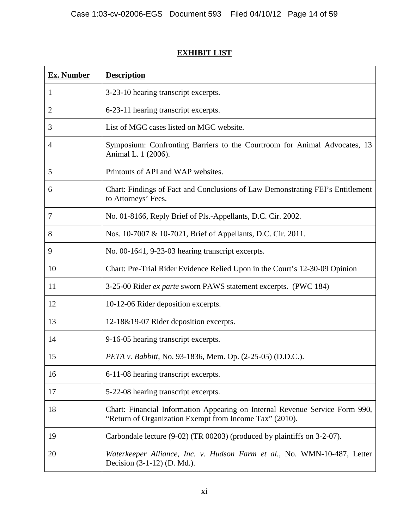# **Ex. Number Description** 1 3-23-10 hearing transcript excerpts. 2 6-23-11 hearing transcript excerpts. 3 List of MGC cases listed on MGC website. 4 Symposium: Confronting Barriers to the Courtroom for Animal Advocates, 13 Animal L. 1 (2006). 5 Printouts of API and WAP websites. 6 Chart: Findings of Fact and Conclusions of Law Demonstrating FEI's Entitlement to Attorneys' Fees. 7 No. 01-8166, Reply Brief of Pls.-Appellants, D.C. Cir. 2002. 8 Nos. 10-7007 & 10-7021, Brief of Appellants, D.C. Cir. 2011. 9 No. 00-1641, 9-23-03 hearing transcript excerpts. 10 Chart: Pre-Trial Rider Evidence Relied Upon in the Court's 12-30-09 Opinion 11 3-25-00 Rider *ex parte* sworn PAWS statement excerpts. (PWC 184) 12 10-12-06 Rider deposition excerpts. 13 12-18&19-07 Rider deposition excerpts. 14 9-16-05 hearing transcript excerpts. 15 *PETA v. Babbitt*, No. 93-1836, Mem. Op. (2-25-05) (D.D.C.). 16 6-11-08 hearing transcript excerpts. 17 **5-22-08 hearing transcript excerpts.** 18 Chart: Financial Information Appearing on Internal Revenue Service Form 990, "Return of Organization Exempt from Income Tax" (2010). 19 Carbondale lecture (9-02) (TR 00203) (produced by plaintiffs on 3-2-07). 20 *Waterkeeper Alliance, Inc. v. Hudson Farm et al.*, No. WMN-10-487, Letter Decision (3-1-12) (D. Md.).

# **EXHIBIT LIST**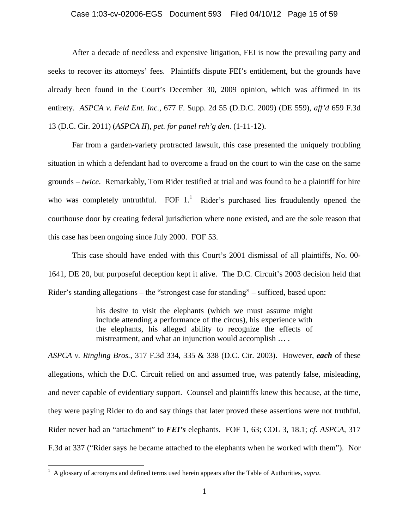#### Case 1:03-cv-02006-EGS Document 593 Filed 04/10/12 Page 15 of 59

After a decade of needless and expensive litigation, FEI is now the prevailing party and seeks to recover its attorneys' fees. Plaintiffs dispute FEI's entitlement, but the grounds have already been found in the Court's December 30, 2009 opinion, which was affirmed in its entirety. *ASPCA v. Feld Ent. Inc.*, 677 F. Supp. 2d 55 (D.D.C. 2009) (DE 559), *aff'd* 659 F.3d 13 (D.C. Cir. 2011) (*ASPCA II*), *pet. for panel reh'g den.* (1-11-12).

Far from a garden-variety protracted lawsuit, this case presented the uniquely troubling situation in which a defendant had to overcome a fraud on the court to win the case on the same grounds – *twice*. Remarkably, Tom Rider testified at trial and was found to be a plaintiff for hire who was completely untruthful. FOF  $1$ .<sup>1</sup> Rider's purchased lies fraudulently opened the courthouse door by creating federal jurisdiction where none existed, and are the sole reason that this case has been ongoing since July 2000. FOF 53.

This case should have ended with this Court's 2001 dismissal of all plaintiffs, No. 00- 1641, DE 20, but purposeful deception kept it alive. The D.C. Circuit's 2003 decision held that Rider's standing allegations – the "strongest case for standing" – sufficed, based upon:

> his desire to visit the elephants (which we must assume might include attending a performance of the circus), his experience with the elephants, his alleged ability to recognize the effects of mistreatment, and what an injunction would accomplish … .

*ASPCA v. Ringling Bros.*, 317 F.3d 334, 335 & 338 (D.C. Cir. 2003). However, *each* of these allegations, which the D.C. Circuit relied on and assumed true, was patently false, misleading, and never capable of evidentiary support. Counsel and plaintiffs knew this because, at the time, they were paying Rider to do and say things that later proved these assertions were not truthful. Rider never had an "attachment" to *FEI's* elephants. FOF 1, 63; COL 3, 18.1; *cf. ASPCA*, 317 F.3d at 337 ("Rider says he became attached to the elephants when he worked with them"). Nor

1

<sup>&</sup>lt;sup>1</sup> A glossary of acronyms and defined terms used herein appears after the Table of Authorities, *supra*.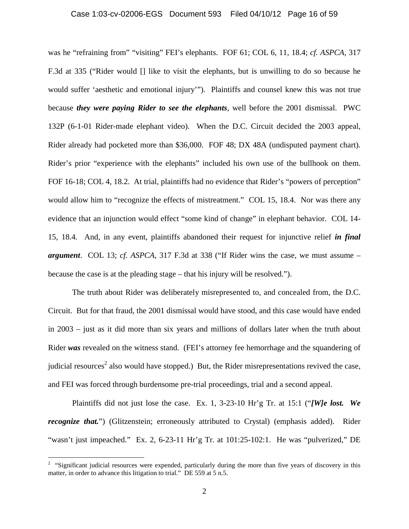#### Case 1:03-cv-02006-EGS Document 593 Filed 04/10/12 Page 16 of 59

was he "refraining from" "visiting" FEI's elephants. FOF 61; COL 6, 11, 18.4; *cf. ASPCA*, 317 F.3d at 335 ("Rider would [] like to visit the elephants, but is unwilling to do so because he would suffer 'aesthetic and emotional injury'"). Plaintiffs and counsel knew this was not true because *they were paying Rider to see the elephants*, well before the 2001 dismissal. PWC 132P (6-1-01 Rider-made elephant video). When the D.C. Circuit decided the 2003 appeal, Rider already had pocketed more than \$36,000. FOF 48; DX 48A (undisputed payment chart). Rider's prior "experience with the elephants" included his own use of the bullhook on them. FOF 16-18; COL 4, 18.2. At trial, plaintiffs had no evidence that Rider's "powers of perception" would allow him to "recognize the effects of mistreatment." COL 15, 18.4. Nor was there any evidence that an injunction would effect "some kind of change" in elephant behavior. COL 14- 15, 18.4. And, in any event, plaintiffs abandoned their request for injunctive relief *in final argument*. COL 13; *cf. ASPCA,* 317 F.3d at 338 ("If Rider wins the case, we must assume – because the case is at the pleading stage – that his injury will be resolved.").

The truth about Rider was deliberately misrepresented to, and concealed from, the D.C. Circuit. But for that fraud, the 2001 dismissal would have stood, and this case would have ended in 2003 – just as it did more than six years and millions of dollars later when the truth about Rider *was* revealed on the witness stand. (FEI's attorney fee hemorrhage and the squandering of judicial resources<sup>2</sup> also would have stopped.) But, the Rider misrepresentations revived the case, and FEI was forced through burdensome pre-trial proceedings, trial and a second appeal.

Plaintiffs did not just lose the case. Ex. 1, 3-23-10 Hr'g Tr. at 15:1 ("*[W]e lost. We recognize that.*") (Glitzenstein; erroneously attributed to Crystal) (emphasis added). Rider "wasn't just impeached." Ex. 2, 6-23-11 Hr'g Tr. at 101:25-102:1. He was "pulverized," DE

<sup>&</sup>lt;sup>2</sup> "Significant judicial resources were expended, particularly during the more than five years of discovery in this matter, in order to advance this litigation to trial." DE 559 at 5 n.5.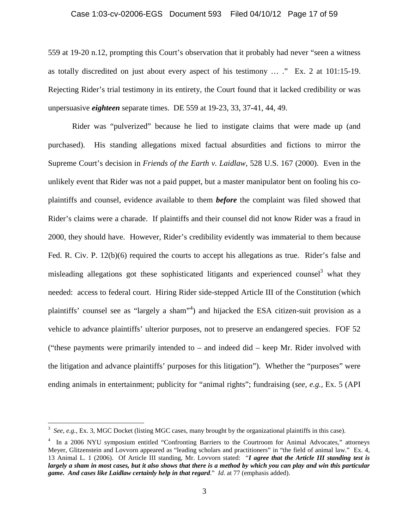# Case 1:03-cv-02006-EGS Document 593 Filed 04/10/12 Page 17 of 59

559 at 19-20 n.12, prompting this Court's observation that it probably had never "seen a witness as totally discredited on just about every aspect of his testimony … ." Ex. 2 at 101:15-19. Rejecting Rider's trial testimony in its entirety, the Court found that it lacked credibility or was unpersuasive *eighteen* separate times. DE 559 at 19-23, 33, 37-41, 44, 49.

Rider was "pulverized" because he lied to instigate claims that were made up (and purchased). His standing allegations mixed factual absurdities and fictions to mirror the Supreme Court's decision in *Friends of the Earth v. Laidlaw*, 528 U.S. 167 (2000). Even in the unlikely event that Rider was not a paid puppet, but a master manipulator bent on fooling his coplaintiffs and counsel, evidence available to them *before* the complaint was filed showed that Rider's claims were a charade. If plaintiffs and their counsel did not know Rider was a fraud in 2000, they should have. However, Rider's credibility evidently was immaterial to them because Fed. R. Civ. P. 12(b)(6) required the courts to accept his allegations as true. Rider's false and misleading allegations got these sophisticated litigants and experienced counsel<sup>3</sup> what they needed: access to federal court. Hiring Rider side-stepped Article III of the Constitution (which plaintiffs' counsel see as "largely a sham"<sup>4</sup>) and hijacked the ESA citizen-suit provision as a vehicle to advance plaintiffs' ulterior purposes, not to preserve an endangered species. FOF 52 ("these payments were primarily intended to  $-$  and indeed did  $-$  keep Mr. Rider involved with the litigation and advance plaintiffs' purposes for this litigation"). Whether the "purposes" were ending animals in entertainment; publicity for "animal rights"; fundraising (*see, e.g.,* Ex. 5 (API

<sup>&</sup>lt;sup>3</sup> See, e.g., Ex. 3, MGC Docket (listing MGC cases, many brought by the organizational plaintiffs in this case).

<sup>&</sup>lt;sup>4</sup> In a 2006 NYU symposium entitled "Confronting Barriers to the Courtroom for Animal Advocates," attorneys Meyer, Glitzenstein and Lovvorn appeared as "leading scholars and practitioners" in "the field of animal law." Ex. 4, 13 Animal L. 1 (2006). Of Article III standing, Mr. Lovvorn stated: "*I agree that the Article III standing test is largely a sham in most cases, but it also shows that there is a method by which you can play and win this particular game. And cases like Laidlaw certainly help in that regard*." *Id*. at 77 (emphasis added).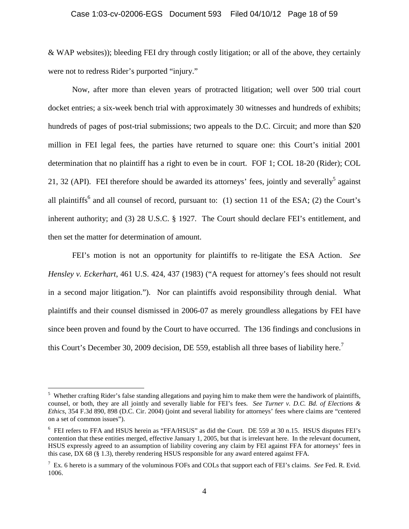& WAP websites)); bleeding FEI dry through costly litigation; or all of the above, they certainly were not to redress Rider's purported "injury."

Now, after more than eleven years of protracted litigation; well over 500 trial court docket entries; a six-week bench trial with approximately 30 witnesses and hundreds of exhibits; hundreds of pages of post-trial submissions; two appeals to the D.C. Circuit; and more than \$20 million in FEI legal fees, the parties have returned to square one: this Court's initial 2001 determination that no plaintiff has a right to even be in court. FOF 1; COL 18-20 (Rider); COL 21, 32 (API). FEI therefore should be awarded its attorneys' fees, jointly and severally<sup>5</sup> against all plaintiffs<sup>6</sup> and all counsel of record, pursuant to: (1) section 11 of the ESA; (2) the Court's inherent authority; and (3) 28 U.S.C. § 1927. The Court should declare FEI's entitlement, and then set the matter for determination of amount.

FEI's motion is not an opportunity for plaintiffs to re-litigate the ESA Action. *See Hensley v. Eckerhart*, 461 U.S. 424, 437 (1983) ("A request for attorney's fees should not result in a second major litigation."). Nor can plaintiffs avoid responsibility through denial. What plaintiffs and their counsel dismissed in 2006-07 as merely groundless allegations by FEI have since been proven and found by the Court to have occurred. The 136 findings and conclusions in this Court's December 30, 2009 decision, DE 559, establish all three bases of liability here.<sup>7</sup>

1

<sup>&</sup>lt;sup>5</sup> Whether crafting Rider's false standing allegations and paying him to make them were the handiwork of plaintiffs, counsel, or both, they are all jointly and severally liable for FEI's fees. *See Turner v. D.C. Bd. of Elections & Ethics*, 354 F.3d 890, 898 (D.C. Cir. 2004) (joint and several liability for attorneys' fees where claims are "centered on a set of common issues").

<sup>&</sup>lt;sup>6</sup> FEI refers to FFA and HSUS herein as "FFA/HSUS" as did the Court. DE 559 at 30 n.15. HSUS disputes FEI's contention that these entities merged, effective January 1, 2005, but that is irrelevant here. In the relevant document, HSUS expressly agreed to an assumption of liability covering any claim by FEI against FFA for attorneys' fees in this case, DX 68 (§ 1.3), thereby rendering HSUS responsible for any award entered against FFA.

<sup>7</sup> Ex. 6 hereto is a summary of the voluminous FOFs and COLs that support each of FEI's claims. *See* Fed. R. Evid. 1006.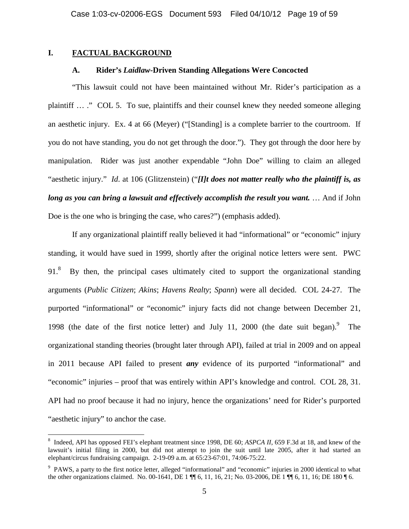# **I. FACTUAL BACKGROUND**

1

#### **A. Rider's** *Laidlaw***-Driven Standing Allegations Were Concocted**

"This lawsuit could not have been maintained without Mr. Rider's participation as a plaintiff … ." COL 5. To sue, plaintiffs and their counsel knew they needed someone alleging an aesthetic injury. Ex. 4 at 66 (Meyer) ("[Standing] is a complete barrier to the courtroom. If you do not have standing, you do not get through the door."). They got through the door here by manipulation. Rider was just another expendable "John Doe" willing to claim an alleged "aesthetic injury." *Id*. at 106 (Glitzenstein) ("*[I]t does not matter really who the plaintiff is, as long as you can bring a lawsuit and effectively accomplish the result you want.* … And if John Doe is the one who is bringing the case, who cares?") (emphasis added).

If any organizational plaintiff really believed it had "informational" or "economic" injury standing, it would have sued in 1999, shortly after the original notice letters were sent. PWC 91.<sup>8</sup> By then, the principal cases ultimately cited to support the organizational standing arguments (*Public Citizen*; *Akins*; *Havens Realty*; *Spann*) were all decided. COL 24-27. The purported "informational" or "economic" injury facts did not change between December 21, 1998 (the date of the first notice letter) and July 11, 2000 (the date suit began). The organizational standing theories (brought later through API), failed at trial in 2009 and on appeal in 2011 because API failed to present *any* evidence of its purported "informational" and "economic" injuries – proof that was entirely within API's knowledge and control. COL 28, 31. API had no proof because it had no injury, hence the organizations' need for Rider's purported "aesthetic injury" to anchor the case.

<sup>&</sup>lt;sup>8</sup> Indeed, API has opposed FEI's elephant treatment since 1998, DE 60; *ASPCA II*, 659 F.3d at 18, and knew of the lawsuit's initial filing in 2000, but did not attempt to join the suit until late 2005, after it had started an elephant/circus fundraising campaign. 2-19-09 a.m. at 65:23-67:01, 74:06-75:22.

<sup>&</sup>lt;sup>9</sup> PAWS, a party to the first notice letter, alleged "informational" and "economic" injuries in 2000 identical to what the other organizations claimed. No. 00-1641, DE 1 ¶¶ 6, 11, 16, 21; No. 03-2006, DE 1 ¶¶ 6, 11, 16; DE 180 ¶ 6.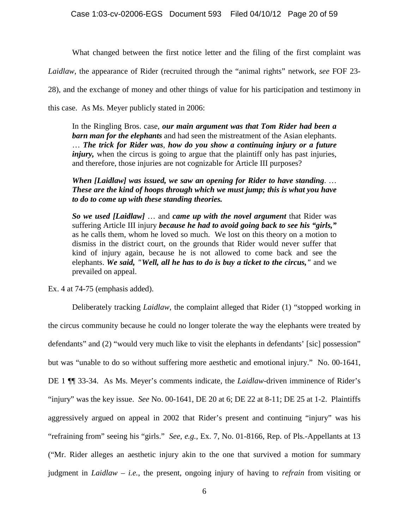What changed between the first notice letter and the filing of the first complaint was

*Laidlaw*, the appearance of Rider (recruited through the "animal rights" network, *see* FOF 23-

28), and the exchange of money and other things of value for his participation and testimony in

this case. As Ms. Meyer publicly stated in 2006:

In the Ringling Bros. case, *our main argument was that Tom Rider had been a barn man for the elephants* and had seen the mistreatment of the Asian elephants. … *The trick for Rider was*, *how do you show a continuing injury or a future injury*, when the circus is going to argue that the plaintiff only has past injuries, and therefore, those injuries are not cognizable for Article III purposes?

*When [Laidlaw] was issued, we saw an opening for Rider to have standing*. … *These are the kind of hoops through which we must jump; this is what you have to do to come up with these standing theories.* 

*So we used [Laidlaw]* … and *came up with the novel argument* that Rider was suffering Article III injury *because he had to avoid going back to see his "girls,"* as he calls them, whom he loved so much. We lost on this theory on a motion to dismiss in the district court, on the grounds that Rider would never suffer that kind of injury again, because he is not allowed to come back and see the elephants. *We said, "Well, all he has to do is buy a ticket to the circus,"* and we prevailed on appeal.

Ex. 4 at 74-75 (emphasis added).

Deliberately tracking *Laidlaw*, the complaint alleged that Rider (1) "stopped working in the circus community because he could no longer tolerate the way the elephants were treated by defendants" and (2) "would very much like to visit the elephants in defendants' [sic] possession" but was "unable to do so without suffering more aesthetic and emotional injury." No. 00-1641, DE 1 ¶¶ 33-34. As Ms. Meyer's comments indicate, the *Laidlaw*-driven imminence of Rider's "injury" was the key issue. *See* No. 00-1641, DE 20 at 6; DE 22 at 8-11; DE 25 at 1-2. Plaintiffs aggressively argued on appeal in 2002 that Rider's present and continuing "injury" was his "refraining from" seeing his "girls." *See, e.g.,* Ex. 7, No. 01-8166, Rep. of Pls.-Appellants at 13 ("Mr. Rider alleges an aesthetic injury akin to the one that survived a motion for summary judgment in *Laidlaw* – *i.e.*, the present, ongoing injury of having to *refrain* from visiting or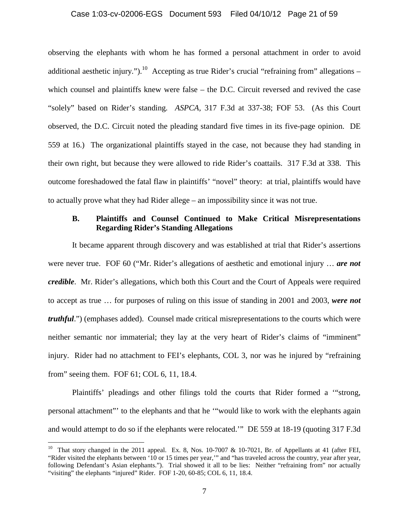#### Case 1:03-cv-02006-EGS Document 593 Filed 04/10/12 Page 21 of 59

observing the elephants with whom he has formed a personal attachment in order to avoid additional aesthetic injury.").<sup>10</sup> Accepting as true Rider's crucial "refraining from" allegations  $$ which counsel and plaintiffs knew were false – the D.C. Circuit reversed and revived the case "solely" based on Rider's standing. *ASPCA,* 317 F.3d at 337-38; FOF 53. (As this Court observed, the D.C. Circuit noted the pleading standard five times in its five-page opinion. DE 559 at 16.) The organizational plaintiffs stayed in the case, not because they had standing in their own right, but because they were allowed to ride Rider's coattails. 317 F.3d at 338. This outcome foreshadowed the fatal flaw in plaintiffs' "novel" theory: at trial, plaintiffs would have to actually prove what they had Rider allege – an impossibility since it was not true.

# **B. Plaintiffs and Counsel Continued to Make Critical Misrepresentations Regarding Rider's Standing Allegations**

It became apparent through discovery and was established at trial that Rider's assertions were never true. FOF 60 ("Mr. Rider's allegations of aesthetic and emotional injury … *are not credible*. Mr. Rider's allegations, which both this Court and the Court of Appeals were required to accept as true … for purposes of ruling on this issue of standing in 2001 and 2003, *were not truthful*.") (emphases added). Counsel made critical misrepresentations to the courts which were neither semantic nor immaterial; they lay at the very heart of Rider's claims of "imminent" injury. Rider had no attachment to FEI's elephants, COL 3, nor was he injured by "refraining from" seeing them. FOF 61; COL 6, 11, 18.4.

Plaintiffs' pleadings and other filings told the courts that Rider formed a '"strong, personal attachment"' to the elephants and that he '"would like to work with the elephants again and would attempt to do so if the elephants were relocated.'" DE 559 at 18-19 (quoting 317 F.3d

<sup>&</sup>lt;sup>10</sup> That story changed in the 2011 appeal. Ex. 8, Nos. 10-7007 & 10-7021, Br. of Appellants at 41 (after FEI, "Rider visited the elephants between '10 or 15 times per year,'" and "has traveled across the country, year after year, following Defendant's Asian elephants."). Trial showed it all to be lies: Neither "refraining from" nor actually "visiting" the elephants "injured" Rider. FOF 1-20, 60-85; COL 6, 11, 18.4.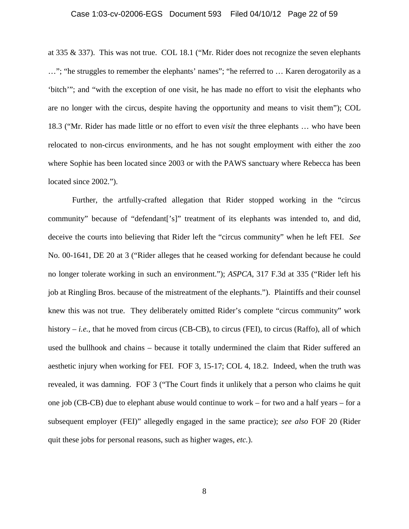#### Case 1:03-cv-02006-EGS Document 593 Filed 04/10/12 Page 22 of 59

at 335 & 337). This was not true. COL 18.1 ("Mr. Rider does not recognize the seven elephants …"; "he struggles to remember the elephants' names"; "he referred to … Karen derogatorily as a 'bitch'"; and "with the exception of one visit, he has made no effort to visit the elephants who are no longer with the circus, despite having the opportunity and means to visit them"); COL 18.3 ("Mr. Rider has made little or no effort to even *visit* the three elephants … who have been relocated to non-circus environments, and he has not sought employment with either the zoo where Sophie has been located since 2003 or with the PAWS sanctuary where Rebecca has been located since 2002.").

Further, the artfully-crafted allegation that Rider stopped working in the "circus community" because of "defendant['s]" treatment of its elephants was intended to, and did, deceive the courts into believing that Rider left the "circus community" when he left FEI. *See* No. 00-1641, DE 20 at 3 ("Rider alleges that he ceased working for defendant because he could no longer tolerate working in such an environment."); *ASPCA*, 317 F.3d at 335 ("Rider left his job at Ringling Bros. because of the mistreatment of the elephants."). Plaintiffs and their counsel knew this was not true. They deliberately omitted Rider's complete "circus community" work history – *i.e.*, that he moved from circus (CB-CB), to circus (FEI), to circus (Raffo), all of which used the bullhook and chains – because it totally undermined the claim that Rider suffered an aesthetic injury when working for FEI. FOF 3, 15-17; COL 4, 18.2. Indeed, when the truth was revealed, it was damning. FOF 3 ("The Court finds it unlikely that a person who claims he quit one job (CB-CB) due to elephant abuse would continue to work – for two and a half years – for a subsequent employer (FEI)" allegedly engaged in the same practice); *see also* FOF 20 (Rider quit these jobs for personal reasons, such as higher wages, *etc.*).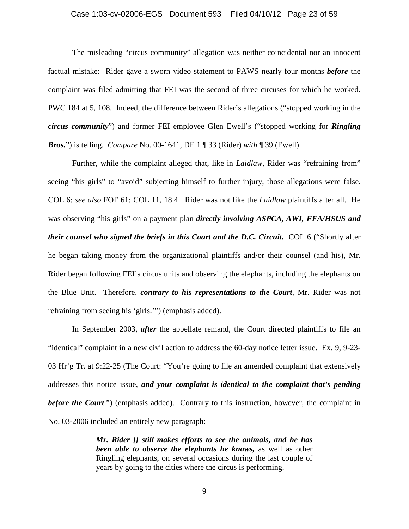#### Case 1:03-cv-02006-EGS Document 593 Filed 04/10/12 Page 23 of 59

The misleading "circus community" allegation was neither coincidental nor an innocent factual mistake: Rider gave a sworn video statement to PAWS nearly four months *before* the complaint was filed admitting that FEI was the second of three circuses for which he worked. PWC 184 at 5, 108. Indeed, the difference between Rider's allegations ("stopped working in the *circus community*") and former FEI employee Glen Ewell's ("stopped working for *Ringling Bros.*") is telling. *Compare* No. 00-1641, DE 1 ¶ 33 (Rider) *with* ¶ 39 (Ewell).

Further, while the complaint alleged that, like in *Laidlaw*, Rider was "refraining from" seeing "his girls" to "avoid" subjecting himself to further injury, those allegations were false. COL 6; *see also* FOF 61; COL 11, 18.4. Rider was not like the *Laidlaw* plaintiffs after all. He was observing "his girls" on a payment plan *directly involving ASPCA, AWI, FFA/HSUS and their counsel who signed the briefs in this Court and the D.C. Circuit.* COL 6 ("Shortly after he began taking money from the organizational plaintiffs and/or their counsel (and his), Mr. Rider began following FEI's circus units and observing the elephants, including the elephants on the Blue Unit. Therefore, *contrary to his representations to the Court*, Mr. Rider was not refraining from seeing his 'girls.'") (emphasis added).

In September 2003, *after* the appellate remand, the Court directed plaintiffs to file an "identical" complaint in a new civil action to address the 60-day notice letter issue. Ex. 9, 9-23- 03 Hr'g Tr. at 9:22-25 (The Court: "You're going to file an amended complaint that extensively addresses this notice issue, *and your complaint is identical to the complaint that's pending before the Court*.") (emphasis added). Contrary to this instruction, however, the complaint in No. 03-2006 included an entirely new paragraph:

> *Mr. Rider [] still makes efforts to see the animals, and he has been able to observe the elephants he knows,* as well as other Ringling elephants, on several occasions during the last couple of years by going to the cities where the circus is performing.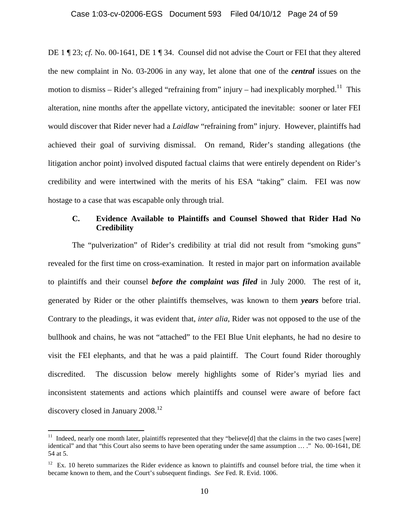DE 1 ¶ 23; *cf.* No. 00-1641, DE 1 ¶ 34. Counsel did not advise the Court or FEI that they altered the new complaint in No. 03-2006 in any way, let alone that one of the *central* issues on the motion to dismiss – Rider's alleged "refraining from" injury – had inexplicably morphed.<sup>11</sup> This alteration, nine months after the appellate victory, anticipated the inevitable: sooner or later FEI would discover that Rider never had a *Laidlaw* "refraining from" injury. However, plaintiffs had achieved their goal of surviving dismissal. On remand, Rider's standing allegations (the litigation anchor point) involved disputed factual claims that were entirely dependent on Rider's credibility and were intertwined with the merits of his ESA "taking" claim. FEI was now hostage to a case that was escapable only through trial.

# **C. Evidence Available to Plaintiffs and Counsel Showed that Rider Had No Credibility**

The "pulverization" of Rider's credibility at trial did not result from "smoking guns" revealed for the first time on cross-examination. It rested in major part on information available to plaintiffs and their counsel *before the complaint was filed* in July 2000. The rest of it, generated by Rider or the other plaintiffs themselves, was known to them *years* before trial. Contrary to the pleadings, it was evident that, *inter alia*, Rider was not opposed to the use of the bullhook and chains, he was not "attached" to the FEI Blue Unit elephants, he had no desire to visit the FEI elephants, and that he was a paid plaintiff. The Court found Rider thoroughly discredited. The discussion below merely highlights some of Rider's myriad lies and inconsistent statements and actions which plaintiffs and counsel were aware of before fact discovery closed in January 2008.<sup>12</sup>

<sup>&</sup>lt;sup>11</sup> Indeed, nearly one month later, plaintiffs represented that they "believe[d] that the claims in the two cases [were] identical" and that "this Court also seems to have been operating under the same assumption … ." No. 00-1641, DE 54 at 5.

 $12$  Ex. 10 hereto summarizes the Rider evidence as known to plaintiffs and counsel before trial, the time when it became known to them, and the Court's subsequent findings. *See* Fed. R. Evid. 1006.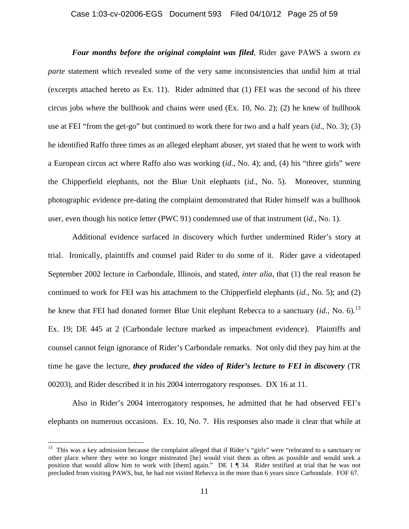# Case 1:03-cv-02006-EGS Document 593 Filed 04/10/12 Page 25 of 59

*Four months before the original complaint was filed*, Rider gave PAWS a sworn *ex parte* statement which revealed some of the very same inconsistencies that undid him at trial (excerpts attached hereto as Ex. 11). Rider admitted that (1) FEI was the second of his three circus jobs where the bullhook and chains were used (Ex. 10, No. 2); (2) he knew of bullhook use at FEI "from the get-go" but continued to work there for two and a half years (*id*., No. 3); (3) he identified Raffo three times as an alleged elephant abuser, yet stated that he went to work with a European circus act where Raffo also was working (*id*., No. 4); and, (4) his "three girls" were the Chipperfield elephants, not the Blue Unit elephants (*id*., No. 5). Moreover, stunning photographic evidence pre-dating the complaint demonstrated that Rider himself was a bullhook user, even though his notice letter (PWC 91) condemned use of that instrument (*id*., No. 1).

Additional evidence surfaced in discovery which further undermined Rider's story at trial. Ironically, plaintiffs and counsel paid Rider to do some of it. Rider gave a videotaped September 2002 lecture in Carbondale, Illinois, and stated, *inter alia*, that (1) the real reason he continued to work for FEI was his attachment to the Chipperfield elephants (*id*., No. 5); and (2) he knew that FEI had donated former Blue Unit elephant Rebecca to a sanctuary (*id.*, No. 6).<sup>13</sup> Ex. 19; DE 445 at 2 (Carbondale lecture marked as impeachment evidence). Plaintiffs and counsel cannot feign ignorance of Rider's Carbondale remarks. Not only did they pay him at the time he gave the lecture, *they produced the video of Rider's lecture to FEI in discovery* (TR 00203), and Rider described it in his 2004 interrogatory responses. DX 16 at 11.

Also in Rider's 2004 interrogatory responses, he admitted that he had observed FEI's elephants on numerous occasions. Ex. 10, No. 7. His responses also made it clear that while at

1

<sup>&</sup>lt;sup>13</sup> This was a key admission because the complaint alleged that if Rider's "girls" were "relocated to a sanctuary or other place where they were no longer mistreated [he] would visit them as often as possible and would seek a position that would allow him to work with [them] again." DE 1 ¶ 34. Rider testified at trial that he was not precluded from visiting PAWS, but, he had not visited Rebecca in the more than 6 years since Carbondale. FOF 67.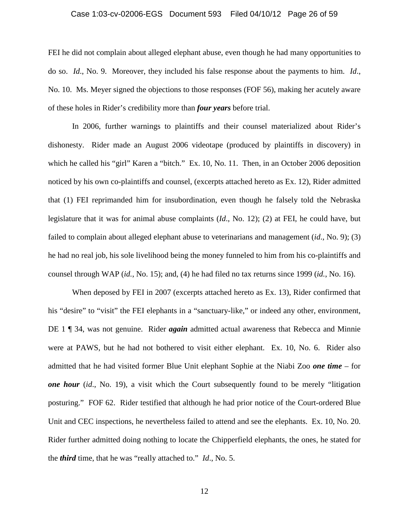#### Case 1:03-cv-02006-EGS Document 593 Filed 04/10/12 Page 26 of 59

FEI he did not complain about alleged elephant abuse, even though he had many opportunities to do so. *Id*., No. 9. Moreover, they included his false response about the payments to him. *Id*., No. 10. Ms. Meyer signed the objections to those responses (FOF 56), making her acutely aware of these holes in Rider's credibility more than *four years* before trial.

In 2006, further warnings to plaintiffs and their counsel materialized about Rider's dishonesty. Rider made an August 2006 videotape (produced by plaintiffs in discovery) in which he called his "girl" Karen a "bitch." Ex. 10, No. 11. Then, in an October 2006 deposition noticed by his own co-plaintiffs and counsel, (excerpts attached hereto as Ex. 12), Rider admitted that (1) FEI reprimanded him for insubordination, even though he falsely told the Nebraska legislature that it was for animal abuse complaints (*Id*., No. 12); (2) at FEI, he could have, but failed to complain about alleged elephant abuse to veterinarians and management (*id*., No. 9); (3) he had no real job, his sole livelihood being the money funneled to him from his co-plaintiffs and counsel through WAP (*id.*, No. 15); and, (4) he had filed no tax returns since 1999 (*id.*, No. 16).

When deposed by FEI in 2007 (excerpts attached hereto as Ex. 13), Rider confirmed that his "desire" to "visit" the FEI elephants in a "sanctuary-like," or indeed any other, environment, DE 1 ¶ 34, was not genuine. Rider *again* admitted actual awareness that Rebecca and Minnie were at PAWS, but he had not bothered to visit either elephant. Ex. 10, No. 6. Rider also admitted that he had visited former Blue Unit elephant Sophie at the Niabi Zoo *one time* – for *one hour* (*id*., No. 19), a visit which the Court subsequently found to be merely "litigation posturing." FOF 62. Rider testified that although he had prior notice of the Court-ordered Blue Unit and CEC inspections, he nevertheless failed to attend and see the elephants. Ex. 10, No. 20. Rider further admitted doing nothing to locate the Chipperfield elephants, the ones, he stated for the *third* time, that he was "really attached to." *Id*., No. 5.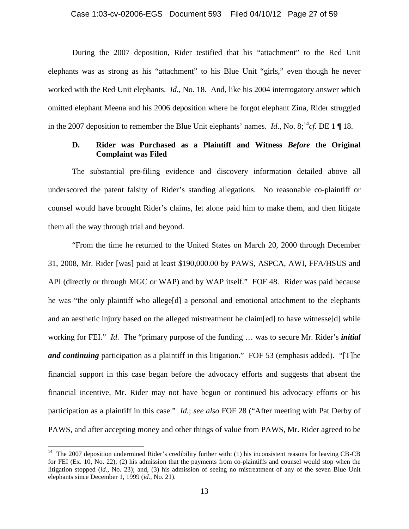#### Case 1:03-cv-02006-EGS Document 593 Filed 04/10/12 Page 27 of 59

During the 2007 deposition, Rider testified that his "attachment" to the Red Unit elephants was as strong as his "attachment" to his Blue Unit "girls," even though he never worked with the Red Unit elephants. *Id*., No. 18. And, like his 2004 interrogatory answer which omitted elephant Meena and his 2006 deposition where he forgot elephant Zina, Rider struggled in the 2007 deposition to remember the Blue Unit elephants' names. *Id.*, No.  $8;^{14}cf$ . DE 1 || 18.

# **D. Rider was Purchased as a Plaintiff and Witness** *Before* **the Original Complaint was Filed**

The substantial pre-filing evidence and discovery information detailed above all underscored the patent falsity of Rider's standing allegations. No reasonable co-plaintiff or counsel would have brought Rider's claims, let alone paid him to make them, and then litigate them all the way through trial and beyond.

"From the time he returned to the United States on March 20, 2000 through December 31, 2008, Mr. Rider [was] paid at least \$190,000.00 by PAWS, ASPCA, AWI, FFA/HSUS and API (directly or through MGC or WAP) and by WAP itself." FOF 48. Rider was paid because he was "the only plaintiff who allege[d] a personal and emotional attachment to the elephants and an aesthetic injury based on the alleged mistreatment he claim[ed] to have witnesse[d] while working for FEI." *Id*. The "primary purpose of the funding … was to secure Mr. Rider's *initial and continuing* participation as a plaintiff in this litigation." FOF 53 (emphasis added). "[T]he financial support in this case began before the advocacy efforts and suggests that absent the financial incentive, Mr. Rider may not have begun or continued his advocacy efforts or his participation as a plaintiff in this case." *Id.*; *see also* FOF 28 ("After meeting with Pat Derby of PAWS, and after accepting money and other things of value from PAWS, Mr. Rider agreed to be

1

<sup>&</sup>lt;sup>14</sup> The 2007 deposition undermined Rider's credibility further with: (1) his inconsistent reasons for leaving CB-CB for FEI (Ex. 10, No. 22); (2) his admission that the payments from co-plaintiffs and counsel would stop when the litigation stopped (*id.,* No. 23); and, (3) his admission of seeing no mistreatment of any of the seven Blue Unit elephants since December 1, 1999 (*id.*, No. 21).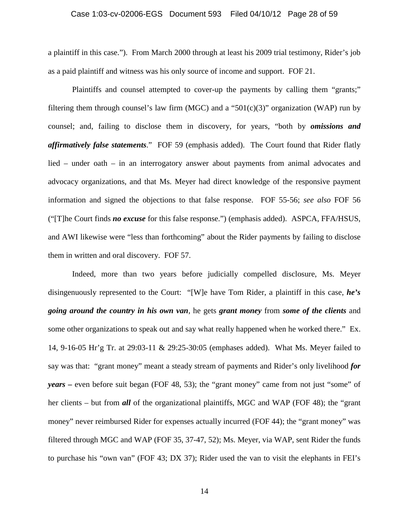#### Case 1:03-cv-02006-EGS Document 593 Filed 04/10/12 Page 28 of 59

a plaintiff in this case.").From March 2000 through at least his 2009 trial testimony, Rider's job as a paid plaintiff and witness was his only source of income and support. FOF 21.

Plaintiffs and counsel attempted to cover-up the payments by calling them "grants;" filtering them through counsel's law firm (MGC) and a "501(c)(3)" organization (WAP) run by counsel; and, failing to disclose them in discovery, for years, "both by *omissions and affirmatively false statements*." FOF 59 (emphasis added). The Court found that Rider flatly lied – under oath – in an interrogatory answer about payments from animal advocates and advocacy organizations, and that Ms. Meyer had direct knowledge of the responsive payment information and signed the objections to that false response. FOF 55-56; *see also* FOF 56 ("[T]he Court finds *no excuse* for this false response.") (emphasis added). ASPCA, FFA/HSUS, and AWI likewise were "less than forthcoming" about the Rider payments by failing to disclose them in written and oral discovery. FOF 57.

Indeed, more than two years before judicially compelled disclosure, Ms. Meyer disingenuously represented to the Court: "[W]e have Tom Rider, a plaintiff in this case, *he's going around the country in his own van*, he gets *grant money* from *some of the clients* and some other organizations to speak out and say what really happened when he worked there." Ex. 14, 9-16-05 Hr'g Tr. at 29:03-11 & 29:25-30:05 (emphases added). What Ms. Meyer failed to say was that: "grant money" meant a steady stream of payments and Rider's only livelihood *for years –* even before suit began (FOF 48, 53); the "grant money" came from not just "some" of her clients – but from **all** of the organizational plaintiffs, MGC and WAP (FOF 48); the "grant money" never reimbursed Rider for expenses actually incurred (FOF 44); the "grant money" was filtered through MGC and WAP (FOF 35, 37-47, 52); Ms. Meyer, via WAP, sent Rider the funds to purchase his "own van" (FOF 43; DX 37); Rider used the van to visit the elephants in FEI's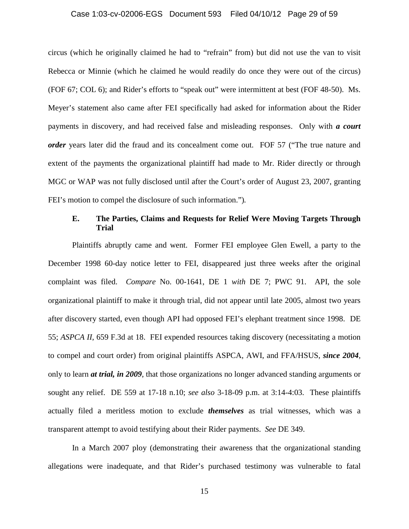#### Case 1:03-cv-02006-EGS Document 593 Filed 04/10/12 Page 29 of 59

circus (which he originally claimed he had to "refrain" from) but did not use the van to visit Rebecca or Minnie (which he claimed he would readily do once they were out of the circus) (FOF 67; COL 6); and Rider's efforts to "speak out" were intermittent at best (FOF 48-50). Ms. Meyer's statement also came after FEI specifically had asked for information about the Rider payments in discovery, and had received false and misleading responses. Only with *a court order* years later did the fraud and its concealment come out. FOF 57 ("The true nature and extent of the payments the organizational plaintiff had made to Mr. Rider directly or through MGC or WAP was not fully disclosed until after the Court's order of August 23, 2007, granting FEI's motion to compel the disclosure of such information.")*.*

# **E. The Parties, Claims and Requests for Relief Were Moving Targets Through Trial**

Plaintiffs abruptly came and went. Former FEI employee Glen Ewell, a party to the December 1998 60-day notice letter to FEI, disappeared just three weeks after the original complaint was filed. *Compare* No. 00-1641, DE 1 *with* DE 7; PWC 91. API, the sole organizational plaintiff to make it through trial, did not appear until late 2005, almost two years after discovery started, even though API had opposed FEI's elephant treatment since 1998. DE 55; *ASPCA II*, 659 F.3d at 18. FEI expended resources taking discovery (necessitating a motion to compel and court order) from original plaintiffs ASPCA, AWI, and FFA/HSUS, *since 2004*, only to learn *at trial, in 2009*, that those organizations no longer advanced standing arguments or sought any relief. DE 559 at 17-18 n.10; *see also* 3-18-09 p.m. at 3:14-4:03. These plaintiffs actually filed a meritless motion to exclude *themselves* as trial witnesses, which was a transparent attempt to avoid testifying about their Rider payments. *See* DE 349.

In a March 2007 ploy (demonstrating their awareness that the organizational standing allegations were inadequate, and that Rider's purchased testimony was vulnerable to fatal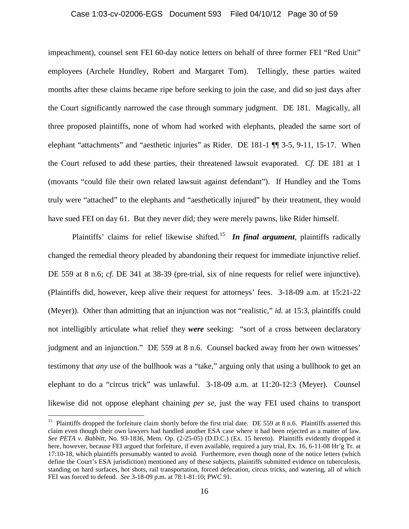#### Case 1:03-cv-02006-EGS Document 593 Filed 04/10/12 Page 30 of 59

impeachment), counsel sent FEI 60-day notice letters on behalf of three former FEI "Red Unit" employees (Archele Hundley, Robert and Margaret Tom). Tellingly, these parties waited months after these claims became ripe before seeking to join the case, and did so just days after the Court significantly narrowed the case through summary judgment. DE 181. Magically, all three proposed plaintiffs, none of whom had worked with elephants, pleaded the same sort of elephant "attachments" and "aesthetic injuries" as Rider. DE 181-1 ¶¶ 3-5, 9-11, 15-17. When the Court refused to add these parties, their threatened lawsuit evaporated. *Cf.* DE 181 at 1 (movants "could file their own related lawsuit against defendant"). If Hundley and the Toms truly were "attached" to the elephants and "aesthetically injured" by their treatment, they would have sued FEI on day 61. But they never did; they were merely pawns, like Rider himself.

Plaintiffs' claims for relief likewise shifted.15 *In final argument*, plaintiffs radically changed the remedial theory pleaded by abandoning their request for immediate injunctive relief. DE 559 at 8 n.6; *cf.* DE 341 at 38-39 (pre-trial, six of nine requests for relief were injunctive). (Plaintiffs did, however, keep alive their request for attorneys' fees. 3-18-09 a.m. at 15:21-22 (Meyer)). Other than admitting that an injunction was not "realistic," *id.* at 15:3, plaintiffs could not intelligibly articulate what relief they *were* seeking: "sort of a cross between declaratory judgment and an injunction." DE 559 at 8 n.6.Counsel backed away from her own witnesses' testimony that *any* use of the bullhook was a "take," arguing only that using a bullhook to get an elephant to do a "circus trick" was unlawful. 3-18-09 a.m. at 11:20-12:3 (Meyer). Counsel likewise did not oppose elephant chaining *per se*, just the way FEI used chains to transport

<sup>&</sup>lt;sup>15</sup> Plaintiffs dropped the forfeiture claim shortly before the first trial date. DE 559 at 8 n.6. Plaintiffs asserted this claim even though their own lawyers had handled another ESA case where it had been rejected as a matter of law. *See PETA v. Babbitt*, No. 93-1836, Mem. Op. (2-25-05) (D.D.C.) (Ex. 15 hereto). Plaintiffs evidently dropped it here, however, because FEI argued that forfeiture, if even available, required a jury trial, Ex. 16, 6-11-08 Hr'g Tr. at 17:10-18, which plaintiffs presumably wanted to avoid. Furthermore, even though none of the notice letters (which define the Court's ESA jurisdiction) mentioned any of these subjects, plaintiffs submitted evidence on tuberculosis, standing on hard surfaces, hot shots, rail transportation, forced defecation, circus tricks, and watering, all of which FEI was forced to defend. *See* 3-18-09 p.m. at 78:1-81:10; PWC 91.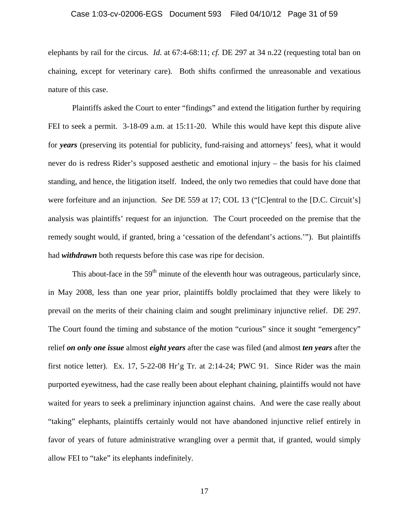#### Case 1:03-cv-02006-EGS Document 593 Filed 04/10/12 Page 31 of 59

elephants by rail for the circus. *Id*. at 67:4-68:11; *cf.* DE 297 at 34 n.22 (requesting total ban on chaining, except for veterinary care). Both shifts confirmed the unreasonable and vexatious nature of this case.

Plaintiffs asked the Court to enter "findings" and extend the litigation further by requiring FEI to seek a permit. 3-18-09 a.m. at 15:11-20. While this would have kept this dispute alive for *years* (preserving its potential for publicity, fund-raising and attorneys' fees), what it would never do is redress Rider's supposed aesthetic and emotional injury – the basis for his claimed standing, and hence, the litigation itself. Indeed, the only two remedies that could have done that were forfeiture and an injunction. *See* DE 559 at 17; COL 13 ("[C]entral to the [D.C. Circuit's] analysis was plaintiffs' request for an injunction. The Court proceeded on the premise that the remedy sought would, if granted, bring a 'cessation of the defendant's actions.'"). But plaintiffs had *withdrawn* both requests before this case was ripe for decision.

This about-face in the  $59<sup>th</sup>$  minute of the eleventh hour was outrageous, particularly since, in May 2008, less than one year prior, plaintiffs boldly proclaimed that they were likely to prevail on the merits of their chaining claim and sought preliminary injunctive relief. DE 297. The Court found the timing and substance of the motion "curious" since it sought "emergency" relief *on only one issue* almost *eight years* after the case was filed (and almost *ten years* after the first notice letter). Ex. 17, 5-22-08 Hr'g Tr. at 2:14-24; PWC 91. Since Rider was the main purported eyewitness, had the case really been about elephant chaining, plaintiffs would not have waited for years to seek a preliminary injunction against chains. And were the case really about "taking" elephants, plaintiffs certainly would not have abandoned injunctive relief entirely in favor of years of future administrative wrangling over a permit that, if granted, would simply allow FEI to "take" its elephants indefinitely.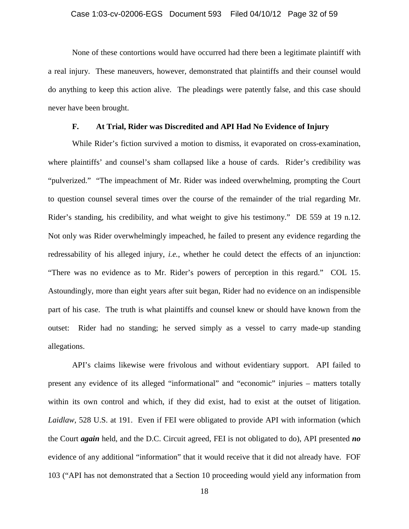None of these contortions would have occurred had there been a legitimate plaintiff with a real injury. These maneuvers, however, demonstrated that plaintiffs and their counsel would do anything to keep this action alive. The pleadings were patently false, and this case should never have been brought.

# **F. At Trial, Rider was Discredited and API Had No Evidence of Injury**

While Rider's fiction survived a motion to dismiss, it evaporated on cross-examination, where plaintiffs' and counsel's sham collapsed like a house of cards. Rider's credibility was "pulverized." "The impeachment of Mr. Rider was indeed overwhelming, prompting the Court to question counsel several times over the course of the remainder of the trial regarding Mr. Rider's standing, his credibility, and what weight to give his testimony." DE 559 at 19 n.12. Not only was Rider overwhelmingly impeached, he failed to present any evidence regarding the redressability of his alleged injury, *i.e.*, whether he could detect the effects of an injunction: "There was no evidence as to Mr. Rider's powers of perception in this regard." COL 15. Astoundingly, more than eight years after suit began, Rider had no evidence on an indispensible part of his case. The truth is what plaintiffs and counsel knew or should have known from the outset: Rider had no standing; he served simply as a vessel to carry made-up standing allegations.

API's claims likewise were frivolous and without evidentiary support. API failed to present any evidence of its alleged "informational" and "economic" injuries – matters totally within its own control and which, if they did exist, had to exist at the outset of litigation. *Laidlaw*, 528 U.S. at 191. Even if FEI were obligated to provide API with information (which the Court *again* held, and the D.C. Circuit agreed, FEI is not obligated to do), API presented *no* evidence of any additional "information" that it would receive that it did not already have. FOF 103 ("API has not demonstrated that a Section 10 proceeding would yield any information from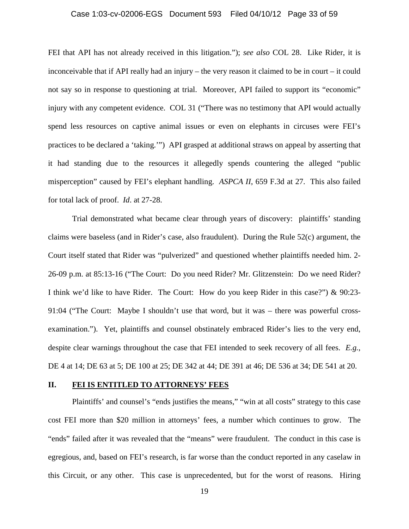#### Case 1:03-cv-02006-EGS Document 593 Filed 04/10/12 Page 33 of 59

FEI that API has not already received in this litigation."); *see also* COL 28. Like Rider, it is inconceivable that if API really had an injury – the very reason it claimed to be in court – it could not say so in response to questioning at trial. Moreover, API failed to support its "economic" injury with any competent evidence. COL 31 ("There was no testimony that API would actually spend less resources on captive animal issues or even on elephants in circuses were FEI's practices to be declared a 'taking.'") API grasped at additional straws on appeal by asserting that it had standing due to the resources it allegedly spends countering the alleged "public misperception" caused by FEI's elephant handling. *ASPCA II*, 659 F.3d at 27. This also failed for total lack of proof. *Id*. at 27-28.

Trial demonstrated what became clear through years of discovery: plaintiffs' standing claims were baseless (and in Rider's case, also fraudulent). During the Rule 52(c) argument, the Court itself stated that Rider was "pulverized" and questioned whether plaintiffs needed him. 2- 26-09 p.m. at 85:13-16 ("The Court: Do you need Rider? Mr. Glitzenstein: Do we need Rider? I think we'd like to have Rider. The Court: How do you keep Rider in this case?") & 90:23- 91:04 ("The Court: Maybe I shouldn't use that word, but it was – there was powerful crossexamination."). Yet, plaintiffs and counsel obstinately embraced Rider's lies to the very end, despite clear warnings throughout the case that FEI intended to seek recovery of all fees. *E.g.*, DE 4 at 14; DE 63 at 5; DE 100 at 25; DE 342 at 44; DE 391 at 46; DE 536 at 34; DE 541 at 20.

#### **II. FEI IS ENTITLED TO ATTORNEYS' FEES**

Plaintiffs' and counsel's "ends justifies the means," "win at all costs" strategy to this case cost FEI more than \$20 million in attorneys' fees, a number which continues to grow. The "ends" failed after it was revealed that the "means" were fraudulent. The conduct in this case is egregious, and, based on FEI's research, is far worse than the conduct reported in any caselaw in this Circuit, or any other. This case is unprecedented, but for the worst of reasons. Hiring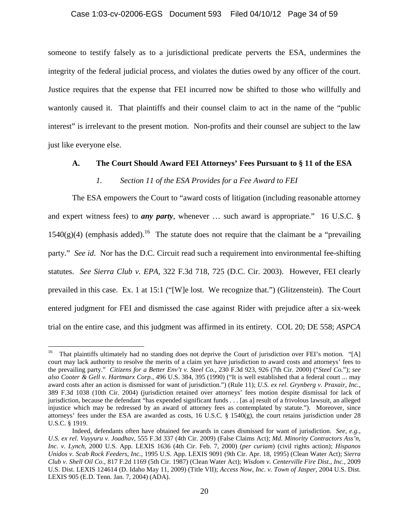#### Case 1:03-cv-02006-EGS Document 593 Filed 04/10/12 Page 34 of 59

someone to testify falsely as to a jurisdictional predicate perverts the ESA, undermines the integrity of the federal judicial process, and violates the duties owed by any officer of the court. Justice requires that the expense that FEI incurred now be shifted to those who willfully and wantonly caused it. That plaintiffs and their counsel claim to act in the name of the "public interest" is irrelevant to the present motion. Non-profits and their counsel are subject to the law just like everyone else.

#### **A. The Court Should Award FEI Attorneys' Fees Pursuant to § 11 of the ESA**

#### *1. Section 11 of the ESA Provides for a Fee Award to FEI*

The ESA empowers the Court to "award costs of litigation (including reasonable attorney and expert witness fees) to *any party*, whenever … such award is appropriate." 16 U.S.C. §  $1540(g)(4)$  (emphasis added).<sup>16</sup> The statute does not require that the claimant be a "prevailing" party." *See id*. Nor has the D.C. Circuit read such a requirement into environmental fee-shifting statutes. *See Sierra Club v. EPA*, 322 F.3d 718, 725 (D.C. Cir. 2003). However, FEI clearly prevailed in this case. Ex. 1 at 15:1 ("[W]e lost. We recognize that.") (Glitzenstein). The Court entered judgment for FEI and dismissed the case against Rider with prejudice after a six-week trial on the entire case, and this judgment was affirmed in its entirety. COL 20; DE 558; *ASPCA* 

<sup>&</sup>lt;sup>16</sup> That plaintiffs ultimately had no standing does not deprive the Court of jurisdiction over FEI's motion. "[A] court may lack authority to resolve the merits of a claim yet have jurisdiction to award costs and attorneys' fees to the prevailing party." *Citizens for a Better Env't v. Steel Co.*, 230 F.3d 923, 926 (7th Cir. 2000) ("*Steel Co.*"); *see also Cooter & Gell v. Hartmarx Corp.*, 496 U.S. 384, 395 (1990) ("It is well established that a federal court ... may award costs after an action is dismissed for want of jurisdiction.") (Rule 11); *U.S. ex rel. Grynberg v. Praxair, Inc.*, 389 F.3d 1038 (10th Cir. 2004) (jurisdiction retained over attorneys' fees motion despite dismissal for lack of jurisdiction, because the defendant "has expended significant funds . . . [as a] result of a frivolous lawsuit, an alleged injustice which may be redressed by an award of attorney fees as contemplated by statute."). Moreover, since attorneys' fees under the ESA are awarded as costs, 16 U.S.C. § 1540(g), the court retains jurisdiction under 28 U.S.C. § 1919.

Indeed, defendants often have obtained fee awards in cases dismissed for want of jurisdiction. *See, e.g.*, *U.S. ex rel. Vuyyuru v. Joadhav*, 555 F.3d 337 (4th Cir. 2009) (False Claims Act); *Md. Minority Contractors Ass'n, Inc. v. Lynch*, 2000 U.S. App. LEXIS 1636 (4th Cir. Feb. 7, 2000) (*per curiam*) (civil rights action); *Hispanos Unidos v. Scab Rock Feeders, Inc.*, 1995 U.S. App. LEXIS 9091 (9th Cir. Apr. 18, 1995) (Clean Water Act); *Sierra Club v. Shell Oil Co.*, 817 F.2d 1169 (5th Cir. 1987) (Clean Water Act); *Wisdom v. Centerville Fire Dist., Inc.,* 2009 U.S. Dist. LEXIS 124614 (D. Idaho May 11, 2009) (Title VII); *Access Now, Inc. v. Town of Jasper*, 2004 U.S. Dist. LEXIS 905 (E.D. Tenn. Jan. 7, 2004) (ADA).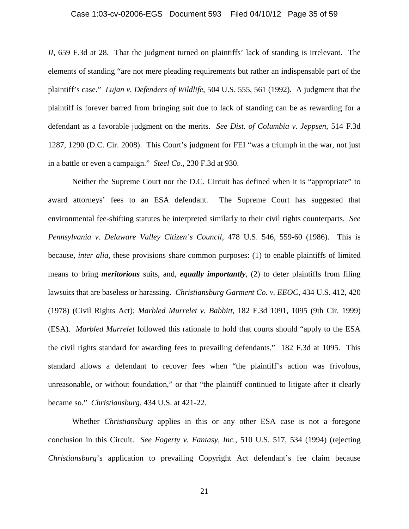#### Case 1:03-cv-02006-EGS Document 593 Filed 04/10/12 Page 35 of 59

*II*, 659 F.3d at 28. That the judgment turned on plaintiffs' lack of standing is irrelevant. The elements of standing "are not mere pleading requirements but rather an indispensable part of the plaintiff's case." *Lujan v. Defenders of Wildlife*, 504 U.S. 555, 561 (1992). A judgment that the plaintiff is forever barred from bringing suit due to lack of standing can be as rewarding for a defendant as a favorable judgment on the merits. *See Dist. of Columbia v. Jeppsen*, 514 F.3d 1287, 1290 (D.C. Cir. 2008). This Court's judgment for FEI "was a triumph in the war, not just in a battle or even a campaign." *Steel Co.*, 230 F.3d at 930.

Neither the Supreme Court nor the D.C. Circuit has defined when it is "appropriate" to award attorneys' fees to an ESA defendant. The Supreme Court has suggested that environmental fee-shifting statutes be interpreted similarly to their civil rights counterparts. *See Pennsylvania v. Delaware Valley Citizen's Council*, 478 U.S. 546, 559-60 (1986). This is because, *inter alia*, these provisions share common purposes: (1) to enable plaintiffs of limited means to bring *meritorious* suits, and, *equally importantly*, (2) to deter plaintiffs from filing lawsuits that are baseless or harassing. *Christiansburg Garment Co. v. EEOC*, 434 U.S. 412, 420 (1978) (Civil Rights Act); *Marbled Murrelet v. Babbitt*, 182 F.3d 1091, 1095 (9th Cir. 1999) (ESA). *Marbled Murrelet* followed this rationale to hold that courts should "apply to the ESA the civil rights standard for awarding fees to prevailing defendants." 182 F.3d at 1095. This standard allows a defendant to recover fees when "the plaintiff's action was frivolous, unreasonable, or without foundation," or that "the plaintiff continued to litigate after it clearly became so." *Christiansburg*, 434 U.S. at 421-22.

Whether *Christiansburg* applies in this or any other ESA case is not a foregone conclusion in this Circuit. *See Fogerty v. Fantasy, Inc.*, 510 U.S. 517, 534 (1994) (rejecting *Christiansburg*'s application to prevailing Copyright Act defendant's fee claim because

21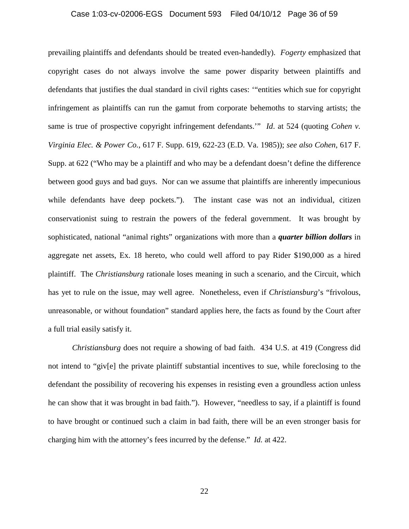#### Case 1:03-cv-02006-EGS Document 593 Filed 04/10/12 Page 36 of 59

prevailing plaintiffs and defendants should be treated even-handedly). *Fogerty* emphasized that copyright cases do not always involve the same power disparity between plaintiffs and defendants that justifies the dual standard in civil rights cases: '"entities which sue for copyright infringement as plaintiffs can run the gamut from corporate behemoths to starving artists; the same is true of prospective copyright infringement defendants.'" *Id*. at 524 (quoting *Cohen v. Virginia Elec. & Power Co.*, 617 F. Supp. 619, 622-23 (E.D. Va. 1985)); *see also Cohen*, 617 F. Supp. at 622 ("Who may be a plaintiff and who may be a defendant doesn't define the difference between good guys and bad guys. Nor can we assume that plaintiffs are inherently impecunious while defendants have deep pockets."). The instant case was not an individual, citizen conservationist suing to restrain the powers of the federal government. It was brought by sophisticated, national "animal rights" organizations with more than a *quarter billion dollars* in aggregate net assets, Ex. 18 hereto, who could well afford to pay Rider \$190,000 as a hired plaintiff. The *Christiansburg* rationale loses meaning in such a scenario, and the Circuit, which has yet to rule on the issue, may well agree. Nonetheless, even if *Christiansburg*'s "frivolous, unreasonable, or without foundation" standard applies here, the facts as found by the Court after a full trial easily satisfy it.

*Christiansburg* does not require a showing of bad faith. 434 U.S. at 419 (Congress did not intend to "giv[e] the private plaintiff substantial incentives to sue, while foreclosing to the defendant the possibility of recovering his expenses in resisting even a groundless action unless he can show that it was brought in bad faith."). However, "needless to say, if a plaintiff is found to have brought or continued such a claim in bad faith, there will be an even stronger basis for charging him with the attorney's fees incurred by the defense." *Id.* at 422.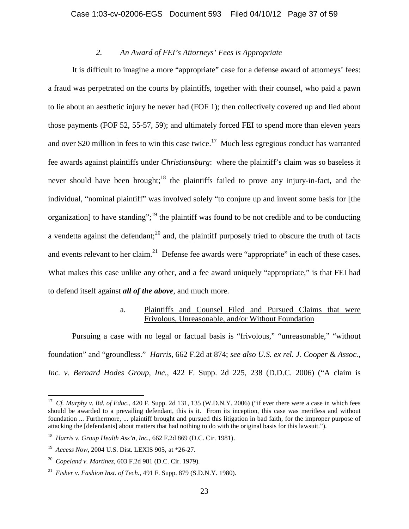# *2. An Award of FEI's Attorneys' Fees is Appropriate*

It is difficult to imagine a more "appropriate" case for a defense award of attorneys' fees: a fraud was perpetrated on the courts by plaintiffs, together with their counsel, who paid a pawn to lie about an aesthetic injury he never had (FOF 1); then collectively covered up and lied about those payments (FOF 52, 55-57, 59); and ultimately forced FEI to spend more than eleven years and over \$20 million in fees to win this case twice.<sup>17</sup> Much less egregious conduct has warranted fee awards against plaintiffs under *Christiansburg*: where the plaintiff's claim was so baseless it never should have been brought;<sup>18</sup> the plaintiffs failed to prove any injury-in-fact, and the individual, "nominal plaintiff" was involved solely "to conjure up and invent some basis for [the organization] to have standing";<sup>19</sup> the plaintiff was found to be not credible and to be conducting a vendetta against the defendant; $^{20}$  and, the plaintiff purposely tried to obscure the truth of facts and events relevant to her claim.<sup>21</sup> Defense fee awards were "appropriate" in each of these cases. What makes this case unlike any other, and a fee award uniquely "appropriate," is that FEI had to defend itself against *all of the above*, and much more.

# a. Plaintiffs and Counsel Filed and Pursued Claims that were Frivolous, Unreasonable, and/or Without Foundation

Pursuing a case with no legal or factual basis is "frivolous," "unreasonable," "without foundation" and "groundless." *Harris*, 662 F.2d at 874; *see also U.S. ex rel. J. Cooper & Assoc., Inc. v. Bernard Hodes Group, Inc.*, 422 F. Supp. 2d 225, 238 (D.D.C. 2006) ("A claim is

<sup>17</sup> *Cf. Murphy v. Bd. of Educ.*, 420 F. Supp. 2d 131, 135 (W.D.N.Y. 2006) ("if ever there were a case in which fees should be awarded to a prevailing defendant, this is it. From its inception, this case was meritless and without foundation ... Furthermore, ... plaintiff brought and pursued this litigation in bad faith, for the improper purpose of attacking the [defendants] about matters that had nothing to do with the original basis for this lawsuit.").

<sup>18</sup> *Harris v. Group Health Ass'n, Inc.*, 662 F.2d 869 (D.C. Cir. 1981).

<sup>19</sup> *Access Now,* 2004 U.S. Dist. LEXIS 905, at \*26-27.

<sup>20</sup> *Copeland v. Martinez*, 603 F.2d 981 (D.C. Cir. 1979).

<sup>21</sup> *Fisher v. Fashion Inst. of Tech.*, 491 F. Supp. 879 (S.D.N.Y. 1980).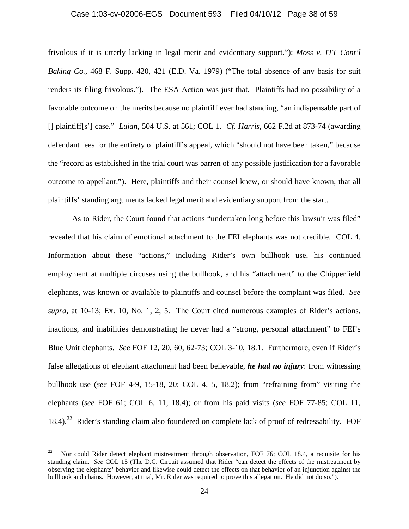# Case 1:03-cv-02006-EGS Document 593 Filed 04/10/12 Page 38 of 59

frivolous if it is utterly lacking in legal merit and evidentiary support."); *Moss v. ITT Cont'l Baking Co.*, 468 F. Supp. 420, 421 (E.D. Va. 1979) ("The total absence of any basis for suit renders its filing frivolous."). The ESA Action was just that. Plaintiffs had no possibility of a favorable outcome on the merits because no plaintiff ever had standing, "an indispensable part of [] plaintiff[s'] case." *Lujan*, 504 U.S. at 561; COL 1. *Cf. Harris*, 662 F.2d at 873-74 (awarding defendant fees for the entirety of plaintiff's appeal, which "should not have been taken," because the "record as established in the trial court was barren of any possible justification for a favorable outcome to appellant."). Here, plaintiffs and their counsel knew, or should have known, that all plaintiffs' standing arguments lacked legal merit and evidentiary support from the start.

As to Rider, the Court found that actions "undertaken long before this lawsuit was filed" revealed that his claim of emotional attachment to the FEI elephants was not credible. COL 4. Information about these "actions," including Rider's own bullhook use, his continued employment at multiple circuses using the bullhook, and his "attachment" to the Chipperfield elephants, was known or available to plaintiffs and counsel before the complaint was filed. *See supra*, at 10-13; Ex. 10, No. 1, 2, 5. The Court cited numerous examples of Rider's actions, inactions, and inabilities demonstrating he never had a "strong, personal attachment" to FEI's Blue Unit elephants. *See* FOF 12, 20, 60, 62-73; COL 3-10, 18.1. Furthermore, even if Rider's false allegations of elephant attachment had been believable, *he had no injury*: from witnessing bullhook use (*see* FOF 4-9, 15-18, 20; COL 4, 5, 18.2); from "refraining from" visiting the elephants (*see* FOF 61; COL 6, 11, 18.4); or from his paid visits (*see* FOF 77-85; COL 11,  $18.4$ ).<sup>22</sup> Rider's standing claim also foundered on complete lack of proof of redressability. FOF

1

<sup>&</sup>lt;sup>22</sup> Nor could Rider detect elephant mistreatment through observation, FOF 76; COL 18.4, a requisite for his standing claim. *See* COL 15 (The D.C. Circuit assumed that Rider "can detect the effects of the mistreatment by observing the elephants' behavior and likewise could detect the effects on that behavior of an injunction against the bullhook and chains. However, at trial, Mr. Rider was required to prove this allegation. He did not do so.").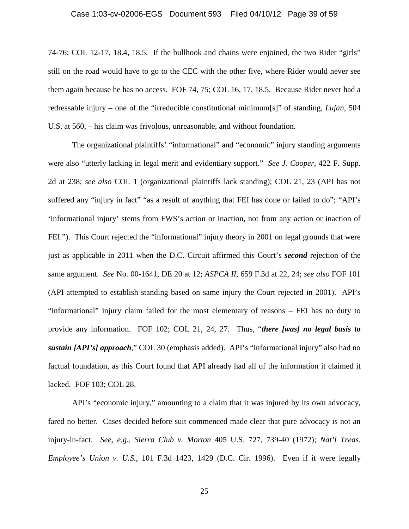#### Case 1:03-cv-02006-EGS Document 593 Filed 04/10/12 Page 39 of 59

74-76; COL 12-17, 18.4, 18.5. If the bullhook and chains were enjoined, the two Rider "girls" still on the road would have to go to the CEC with the other five, where Rider would never see them again because he has no access. FOF 74, 75; COL 16, 17, 18.5. Because Rider never had a redressable injury – one of the "irreducible constitutional minimum[s]" of standing, *Lujan*, 504 U.S. at 560, – his claim was frivolous, unreasonable, and without foundation.

The organizational plaintiffs' "informational" and "economic" injury standing arguments were also "utterly lacking in legal merit and evidentiary support." *See J. Cooper*, 422 F. Supp. 2d at 238; *see also* COL 1 (organizational plaintiffs lack standing); COL 21, 23 (API has not suffered any "injury in fact" "as a result of anything that FEI has done or failed to do"; "API's 'informational injury' stems from FWS's action or inaction, not from any action or inaction of FEI."). This Court rejected the "informational" injury theory in 2001 on legal grounds that were just as applicable in 2011 when the D.C. Circuit affirmed this Court's *second* rejection of the same argument. *See* No. 00-1641, DE 20 at 12; *ASPCA II*, 659 F.3d at 22, 24; *see also* FOF 101 (API attempted to establish standing based on same injury the Court rejected in 2001). API's "informational" injury claim failed for the most elementary of reasons – FEI has no duty to provide any information. FOF 102; COL 21, 24, 27. Thus, "*there [was] no legal basis to sustain [API's] approach*," COL 30 (emphasis added). API's "informational injury" also had no factual foundation, as this Court found that API already had all of the information it claimed it lacked. FOF 103; COL 28.

API's "economic injury," amounting to a claim that it was injured by its own advocacy, fared no better. Cases decided before suit commenced made clear that pure advocacy is not an injury-in-fact. *See, e.g.*, *Sierra Club v. Morton* 405 U.S. 727, 739-40 (1972); *Nat'l Treas. Employee's Union v. U.S.*, 101 F.3d 1423, 1429 (D.C. Cir. 1996). Even if it were legally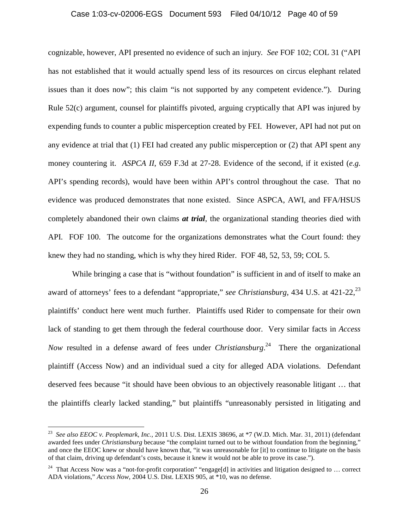#### Case 1:03-cv-02006-EGS Document 593 Filed 04/10/12 Page 40 of 59

cognizable, however, API presented no evidence of such an injury*. See* FOF 102; COL 31 ("API has not established that it would actually spend less of its resources on circus elephant related issues than it does now"; this claim "is not supported by any competent evidence."). During Rule 52(c) argument, counsel for plaintiffs pivoted, arguing cryptically that API was injured by expending funds to counter a public misperception created by FEI. However, API had not put on any evidence at trial that (1) FEI had created any public misperception or (2) that API spent any money countering it. *ASPCA II*, 659 F.3d at 27-28. Evidence of the second, if it existed (*e.g.* API's spending records), would have been within API's control throughout the case. That no evidence was produced demonstrates that none existed. Since ASPCA, AWI, and FFA/HSUS completely abandoned their own claims *at trial*, the organizational standing theories died with API. FOF 100. The outcome for the organizations demonstrates what the Court found: they knew they had no standing, which is why they hired Rider. FOF 48, 52, 53, 59; COL 5.

While bringing a case that is "without foundation" is sufficient in and of itself to make an award of attorneys' fees to a defendant "appropriate," *see Christiansburg*, 434 U.S. at 421-22,<sup>23</sup> plaintiffs' conduct here went much further. Plaintiffs used Rider to compensate for their own lack of standing to get them through the federal courthouse door. Very similar facts in *Access Now* resulted in a defense award of fees under *Christiansburg*. 24 There the organizational plaintiff (Access Now) and an individual sued a city for alleged ADA violations. Defendant deserved fees because "it should have been obvious to an objectively reasonable litigant … that the plaintiffs clearly lacked standing," but plaintiffs "unreasonably persisted in litigating and

<sup>23</sup> *See also EEOC v. Peoplemark*, *Inc.*, 2011 U.S. Dist. LEXIS 38696, at \*7 (W.D. Mich. Mar. 31, 2011) (defendant awarded fees under *Christiansburg* because "the complaint turned out to be without foundation from the beginning," and once the EEOC knew or should have known that, "it was unreasonable for [it] to continue to litigate on the basis of that claim, driving up defendant's costs, because it knew it would not be able to prove its case.").

<sup>&</sup>lt;sup>24</sup> That Access Now was a "not-for-profit corporation" "engage[d] in activities and litigation designed to ... correct ADA violations," *Access Now*, 2004 U.S. Dist. LEXIS 905, at \*10, was no defense.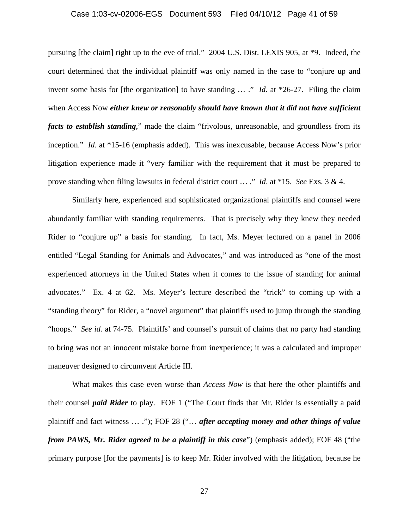#### Case 1:03-cv-02006-EGS Document 593 Filed 04/10/12 Page 41 of 59

pursuing [the claim] right up to the eve of trial." 2004 U.S. Dist. LEXIS 905, at \*9. Indeed, the court determined that the individual plaintiff was only named in the case to "conjure up and invent some basis for [the organization] to have standing … ." *Id*. at \*26-27. Filing the claim when Access Now *either knew or reasonably should have known that it did not have sufficient facts to establish standing*," made the claim "frivolous, unreasonable, and groundless from its inception." *Id*. at \*15-16 (emphasis added). This was inexcusable, because Access Now's prior litigation experience made it "very familiar with the requirement that it must be prepared to prove standing when filing lawsuits in federal district court … ." *Id*. at \*15. *See* Exs. 3 & 4.

Similarly here, experienced and sophisticated organizational plaintiffs and counsel were abundantly familiar with standing requirements. That is precisely why they knew they needed Rider to "conjure up" a basis for standing. In fact, Ms. Meyer lectured on a panel in 2006 entitled "Legal Standing for Animals and Advocates," and was introduced as "one of the most experienced attorneys in the United States when it comes to the issue of standing for animal advocates." Ex. 4 at 62. Ms. Meyer's lecture described the "trick" to coming up with a "standing theory" for Rider, a "novel argument" that plaintiffs used to jump through the standing "hoops." *See id.* at 74-75. Plaintiffs' and counsel's pursuit of claims that no party had standing to bring was not an innocent mistake borne from inexperience; it was a calculated and improper maneuver designed to circumvent Article III.

What makes this case even worse than *Access Now* is that here the other plaintiffs and their counsel *paid Rider* to play. FOF 1 ("The Court finds that Mr. Rider is essentially a paid plaintiff and fact witness … ."); FOF 28 ("… *after accepting money and other things of value from PAWS, Mr. Rider agreed to be a plaintiff in this case*") (emphasis added); FOF 48 ("the primary purpose [for the payments] is to keep Mr. Rider involved with the litigation, because he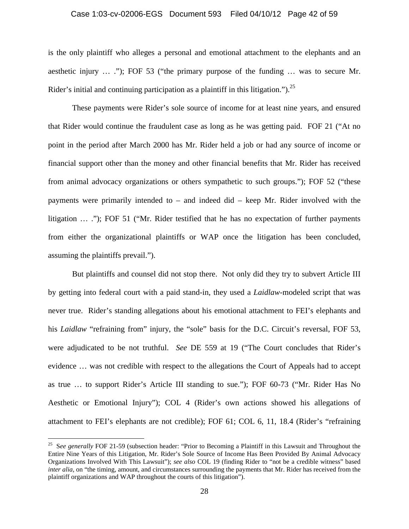#### Case 1:03-cv-02006-EGS Document 593 Filed 04/10/12 Page 42 of 59

is the only plaintiff who alleges a personal and emotional attachment to the elephants and an aesthetic injury … ."); FOF 53 ("the primary purpose of the funding … was to secure Mr. Rider's initial and continuing participation as a plaintiff in this litigation.").<sup>25</sup>

These payments were Rider's sole source of income for at least nine years, and ensured that Rider would continue the fraudulent case as long as he was getting paid. FOF 21 ("At no point in the period after March 2000 has Mr. Rider held a job or had any source of income or financial support other than the money and other financial benefits that Mr. Rider has received from animal advocacy organizations or others sympathetic to such groups."); FOF 52 ("these payments were primarily intended to – and indeed did – keep Mr. Rider involved with the litigation … ."); FOF 51 ("Mr. Rider testified that he has no expectation of further payments from either the organizational plaintiffs or WAP once the litigation has been concluded, assuming the plaintiffs prevail.").

But plaintiffs and counsel did not stop there. Not only did they try to subvert Article III by getting into federal court with a paid stand-in, they used a *Laidlaw*-modeled script that was never true. Rider's standing allegations about his emotional attachment to FEI's elephants and his *Laidlaw* "refraining from" injury, the "sole" basis for the D.C. Circuit's reversal, FOF 53, were adjudicated to be not truthful. *See* DE 559 at 19 ("The Court concludes that Rider's evidence … was not credible with respect to the allegations the Court of Appeals had to accept as true … to support Rider's Article III standing to sue."); FOF 60-73 ("Mr. Rider Has No Aesthetic or Emotional Injury"); COL 4 (Rider's own actions showed his allegations of attachment to FEI's elephants are not credible); FOF 61; COL 6, 11, 18.4 (Rider's "refraining

<sup>&</sup>lt;sup>25</sup> See generally FOF 21-59 (subsection header: "Prior to Becoming a Plaintiff in this Lawsuit and Throughout the Entire Nine Years of this Litigation, Mr. Rider's Sole Source of Income Has Been Provided By Animal Advocacy Organizations Involved With This Lawsuit"); *see also* COL 19 (finding Rider to "not be a credible witness" based *inter alia*, on "the timing, amount, and circumstances surrounding the payments that Mr. Rider has received from the plaintiff organizations and WAP throughout the courts of this litigation").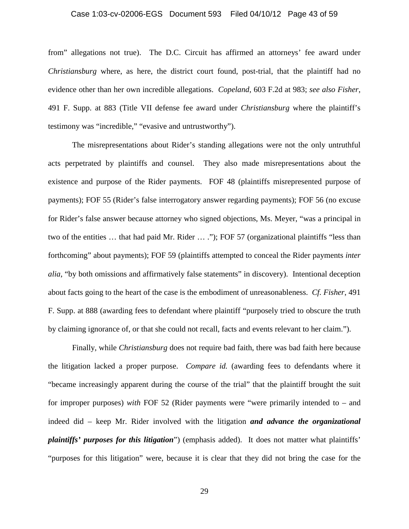#### Case 1:03-cv-02006-EGS Document 593 Filed 04/10/12 Page 43 of 59

from" allegations not true). The D.C. Circuit has affirmed an attorneys' fee award under *Christiansburg* where, as here, the district court found, post-trial, that the plaintiff had no evidence other than her own incredible allegations. *Copeland*, 603 F.2d at 983; *see also Fisher*, 491 F. Supp. at 883 (Title VII defense fee award under *Christiansburg* where the plaintiff's testimony was "incredible," "evasive and untrustworthy").

The misrepresentations about Rider's standing allegations were not the only untruthful acts perpetrated by plaintiffs and counsel. They also made misrepresentations about the existence and purpose of the Rider payments. FOF 48 (plaintiffs misrepresented purpose of payments); FOF 55 (Rider's false interrogatory answer regarding payments); FOF 56 (no excuse for Rider's false answer because attorney who signed objections, Ms. Meyer, "was a principal in two of the entities ... that had paid Mr. Rider ... ."); FOF 57 (organizational plaintiffs "less than forthcoming" about payments); FOF 59 (plaintiffs attempted to conceal the Rider payments *inter alia*, "by both omissions and affirmatively false statements" in discovery). Intentional deception about facts going to the heart of the case is the embodiment of unreasonableness. *Cf. Fisher*, 491 F. Supp. at 888 (awarding fees to defendant where plaintiff "purposely tried to obscure the truth by claiming ignorance of, or that she could not recall, facts and events relevant to her claim.").

Finally, while *Christiansburg* does not require bad faith, there was bad faith here because the litigation lacked a proper purpose. *Compare id.* (awarding fees to defendants where it "became increasingly apparent during the course of the trial" that the plaintiff brought the suit for improper purposes) *with* FOF 52 (Rider payments were "were primarily intended to – and indeed did – keep Mr. Rider involved with the litigation *and advance the organizational plaintiffs' purposes for this litigation*") (emphasis added). It does not matter what plaintiffs' "purposes for this litigation" were, because it is clear that they did not bring the case for the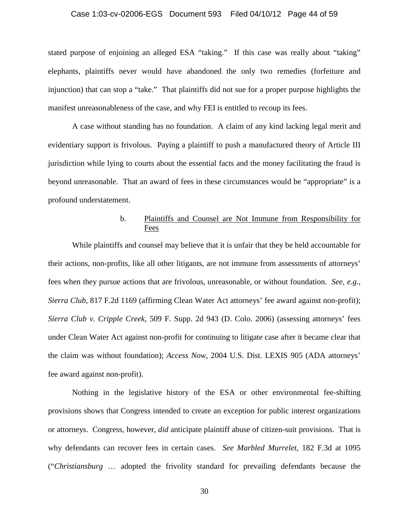#### Case 1:03-cv-02006-EGS Document 593 Filed 04/10/12 Page 44 of 59

stated purpose of enjoining an alleged ESA "taking." If this case was really about "taking" elephants, plaintiffs never would have abandoned the only two remedies (forfeiture and injunction) that can stop a "take." That plaintiffs did not sue for a proper purpose highlights the manifest unreasonableness of the case, and why FEI is entitled to recoup its fees.

A case without standing has no foundation. A claim of any kind lacking legal merit and evidentiary support is frivolous. Paying a plaintiff to push a manufactured theory of Article III jurisdiction while lying to courts about the essential facts and the money facilitating the fraud is beyond unreasonable. That an award of fees in these circumstances would be "appropriate" is a profound understatement.

# b. Plaintiffs and Counsel are Not Immune from Responsibility for **Fees**

While plaintiffs and counsel may believe that it is unfair that they be held accountable for their actions, non-profits, like all other litigants, are not immune from assessments of attorneys' fees when they pursue actions that are frivolous, unreasonable, or without foundation. *See, e.g.*, *Sierra Club*, 817 F.2d 1169 (affirming Clean Water Act attorneys' fee award against non-profit); *Sierra Club v. Cripple Creek,* 509 F. Supp. 2d 943 (D. Colo. 2006) (assessing attorneys' fees under Clean Water Act against non-profit for continuing to litigate case after it became clear that the claim was without foundation); *Access Now*, 2004 U.S. Dist. LEXIS 905 (ADA attorneys' fee award against non-profit).

Nothing in the legislative history of the ESA or other environmental fee-shifting provisions shows that Congress intended to create an exception for public interest organizations or attorneys. Congress, however, *did* anticipate plaintiff abuse of citizen-suit provisions. That is why defendants can recover fees in certain cases. *See Marbled Murrelet*, 182 F.3d at 1095 ("*Christiansburg* … adopted the frivolity standard for prevailing defendants because the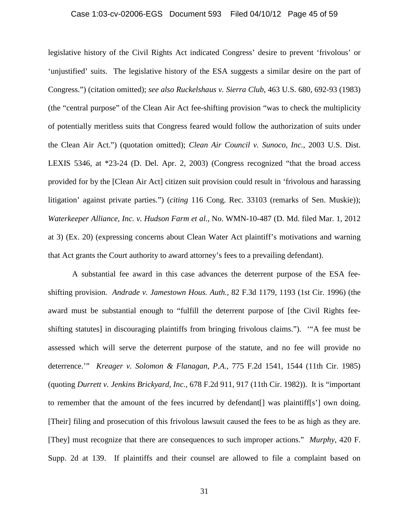#### Case 1:03-cv-02006-EGS Document 593 Filed 04/10/12 Page 45 of 59

legislative history of the Civil Rights Act indicated Congress' desire to prevent 'frivolous' or 'unjustified' suits. The legislative history of the ESA suggests a similar desire on the part of Congress.") (citation omitted); *see also Ruckelshaus v. Sierra Club*, 463 U.S. 680, 692-93 (1983) (the "central purpose" of the Clean Air Act fee-shifting provision "was to check the multiplicity of potentially meritless suits that Congress feared would follow the authorization of suits under the Clean Air Act.") (quotation omitted); *Clean Air Council v. Sunoco, Inc.*, 2003 U.S. Dist. LEXIS 5346, at \*23-24 (D. Del. Apr. 2, 2003) (Congress recognized "that the broad access provided for by the [Clean Air Act] citizen suit provision could result in 'frivolous and harassing litigation' against private parties.") (*citing* 116 Cong. Rec. 33103 (remarks of Sen. Muskie)); *Waterkeeper Alliance, Inc. v. Hudson Farm et al.*, No. WMN-10-487 (D. Md. filed Mar. 1, 2012 at 3) (Ex. 20) (expressing concerns about Clean Water Act plaintiff's motivations and warning that Act grants the Court authority to award attorney's fees to a prevailing defendant).

A substantial fee award in this case advances the deterrent purpose of the ESA feeshifting provision. *Andrade v. Jamestown Hous. Auth.*, 82 F.3d 1179, 1193 (1st Cir. 1996) (the award must be substantial enough to "fulfill the deterrent purpose of [the Civil Rights feeshifting statutes] in discouraging plaintiffs from bringing frivolous claims."). '"A fee must be assessed which will serve the deterrent purpose of the statute, and no fee will provide no deterrence.'" *Kreager v. Solomon & Flanagan, P.A.*, 775 F.2d 1541, 1544 (11th Cir. 1985) (quoting *Durrett v. Jenkins Brickyard, Inc.*, 678 F.2d 911, 917 (11th Cir. 1982)). It is "important to remember that the amount of the fees incurred by defendant  $\lceil \cdot \rceil$  was plaintiff $\lceil s \rceil$  own doing. [Their] filing and prosecution of this frivolous lawsuit caused the fees to be as high as they are. [They] must recognize that there are consequences to such improper actions." *Murphy*, 420 F. Supp. 2d at 139. If plaintiffs and their counsel are allowed to file a complaint based on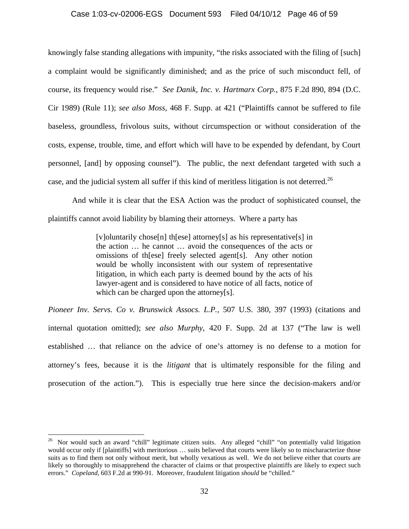#### Case 1:03-cv-02006-EGS Document 593 Filed 04/10/12 Page 46 of 59

knowingly false standing allegations with impunity, "the risks associated with the filing of [such] a complaint would be significantly diminished; and as the price of such misconduct fell, of course, its frequency would rise." *See Danik, Inc. v. Hartmarx Corp.*, 875 F.2d 890, 894 (D.C. Cir 1989) (Rule 11); *see also Moss*, 468 F. Supp. at 421 ("Plaintiffs cannot be suffered to file baseless, groundless, frivolous suits, without circumspection or without consideration of the costs, expense, trouble, time, and effort which will have to be expended by defendant, by Court personnel, [and] by opposing counsel"). The public, the next defendant targeted with such a case, and the judicial system all suffer if this kind of meritless litigation is not deterred.<sup>26</sup>

And while it is clear that the ESA Action was the product of sophisticated counsel, the plaintiffs cannot avoid liability by blaming their attorneys. Where a party has

> [v]oluntarily chose[n] th[ese] attorney[s] as his representative[s] in the action … he cannot … avoid the consequences of the acts or omissions of th[ese] freely selected agent[s]. Any other notion would be wholly inconsistent with our system of representative litigation, in which each party is deemed bound by the acts of his lawyer-agent and is considered to have notice of all facts, notice of which can be charged upon the attorney[s].

*Pioneer Inv. Servs. Co v. Brunswick Assocs. L.P.,* 507 U.S. 380, 397 (1993) (citations and internal quotation omitted); *see also Murphy*, 420 F. Supp. 2d at 137 ("The law is well established … that reliance on the advice of one's attorney is no defense to a motion for attorney's fees, because it is the *litigant* that is ultimately responsible for the filing and prosecution of the action."). This is especially true here since the decision-makers and/or

<sup>&</sup>lt;sup>26</sup> Nor would such an award "chill" legitimate citizen suits. Any alleged "chill" "on potentially valid litigation would occur only if [plaintiffs] with meritorious ... suits believed that courts were likely so to mischaracterize those suits as to find them not only without merit, but wholly vexatious as well. We do not believe either that courts are likely so thoroughly to misapprehend the character of claims or that prospective plaintiffs are likely to expect such errors." *Copeland*, 603 F.2d at 990-91. Moreover, fraudulent litigation *should* be "chilled."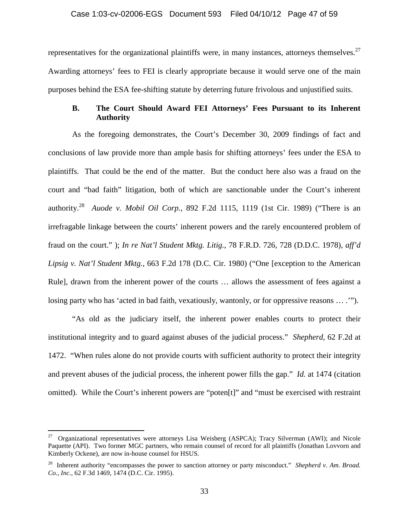representatives for the organizational plaintiffs were, in many instances, attorneys themselves.<sup>27</sup> Awarding attorneys' fees to FEI is clearly appropriate because it would serve one of the main purposes behind the ESA fee-shifting statute by deterring future frivolous and unjustified suits.

# **B. The Court Should Award FEI Attorneys' Fees Pursuant to its Inherent Authority**

As the foregoing demonstrates, the Court's December 30, 2009 findings of fact and conclusions of law provide more than ample basis for shifting attorneys' fees under the ESA to plaintiffs. That could be the end of the matter. But the conduct here also was a fraud on the court and "bad faith" litigation, both of which are sanctionable under the Court's inherent authority.28 *Auode v. Mobil Oil Corp.*, 892 F.2d 1115, 1119 (1st Cir. 1989) ("There is an irrefragable linkage between the courts' inherent powers and the rarely encountered problem of fraud on the court." ); *In re Nat'l Student Mktg. Litig.*, 78 F.R.D. 726, 728 (D.D.C. 1978), *aff'd Lipsig v. Nat'l Student Mktg.*, 663 F.2d 178 (D.C. Cir. 1980) ("One [exception to the American Rule], drawn from the inherent power of the courts … allows the assessment of fees against a losing party who has 'acted in bad faith, vexatiously, wantonly, or for oppressive reasons … .'").

"As old as the judiciary itself, the inherent power enables courts to protect their institutional integrity and to guard against abuses of the judicial process." *Shepherd*, 62 F.2d at 1472. "When rules alone do not provide courts with sufficient authority to protect their integrity and prevent abuses of the judicial process, the inherent power fills the gap." *Id.* at 1474 (citation omitted). While the Court's inherent powers are "poten[t]" and "must be exercised with restraint

 $27$  Organizational representatives were attorneys Lisa Weisberg (ASPCA); Tracy Silverman (AWI); and Nicole Paquette (API). Two former MGC partners, who remain counsel of record for all plaintiffs (Jonathan Lovvorn and Kimberly Ockene), are now in-house counsel for HSUS.

<sup>28</sup> Inherent authority "encompasses the power to sanction attorney or party misconduct." *Shepherd v. Am. Broad. Co., Inc.*, 62 F.3d 1469, 1474 (D.C. Cir. 1995).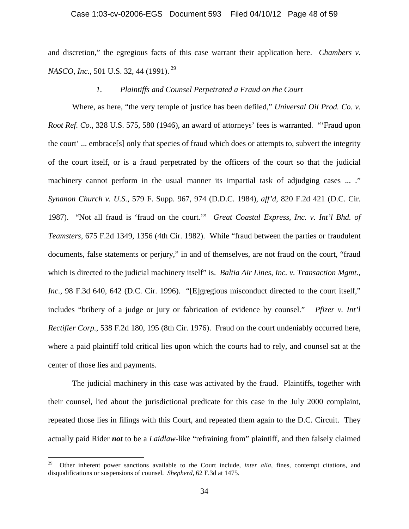#### Case 1:03-cv-02006-EGS Document 593 Filed 04/10/12 Page 48 of 59

and discretion," the egregious facts of this case warrant their application here. *Chambers v. NASCO, Inc.*, 501 U.S. 32, 44 (1991).<sup>29</sup>

# *1. Plaintiffs and Counsel Perpetrated a Fraud on the Court*

Where, as here, "the very temple of justice has been defiled," *Universal Oil Prod. Co. v. Root Ref. Co.*, 328 U.S. 575, 580 (1946), an award of attorneys' fees is warranted. "'Fraud upon the court' ... embrace[s] only that species of fraud which does or attempts to, subvert the integrity of the court itself, or is a fraud perpetrated by the officers of the court so that the judicial machinery cannot perform in the usual manner its impartial task of adjudging cases ... ." *Synanon Church v. U.S.*, 579 F. Supp. 967, 974 (D.D.C. 1984), *aff'd*, 820 F.2d 421 (D.C. Cir. 1987). "Not all fraud is 'fraud on the court.'" *Great Coastal Express, Inc. v. Int'l Bhd. of Teamsters*, 675 F.2d 1349, 1356 (4th Cir. 1982). While "fraud between the parties or fraudulent documents, false statements or perjury," in and of themselves, are not fraud on the court, "fraud which is directed to the judicial machinery itself" is. *Baltia Air Lines, Inc. v. Transaction Mgmt.*, *Inc.*, 98 F.3d 640, 642 (D.C. Cir. 1996). "[E]gregious misconduct directed to the court itself," includes "bribery of a judge or jury or fabrication of evidence by counsel." *Pfizer v. Int'l Rectifier Corp.*, 538 F.2d 180, 195 (8th Cir. 1976). Fraud on the court undeniably occurred here, where a paid plaintiff told critical lies upon which the courts had to rely, and counsel sat at the center of those lies and payments.

The judicial machinery in this case was activated by the fraud. Plaintiffs, together with their counsel, lied about the jurisdictional predicate for this case in the July 2000 complaint, repeated those lies in filings with this Court, and repeated them again to the D.C. Circuit. They actually paid Rider *not* to be a *Laidlaw*-like "refraining from" plaintiff, and then falsely claimed

<sup>29</sup> Other inherent power sanctions available to the Court include, *inter alia*, fines, contempt citations, and disqualifications or suspensions of counsel. *Shepherd*, 62 F.3d at 1475.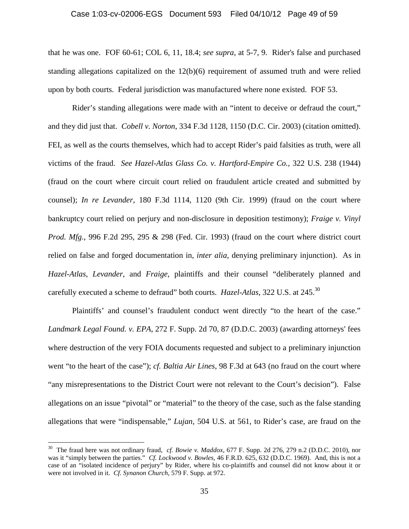#### Case 1:03-cv-02006-EGS Document 593 Filed 04/10/12 Page 49 of 59

that he was one. FOF 60-61; COL 6, 11, 18.4; *see supra*, at 5-7, 9. Rider's false and purchased standing allegations capitalized on the  $12(b)(6)$  requirement of assumed truth and were relied upon by both courts. Federal jurisdiction was manufactured where none existed. FOF 53.

Rider's standing allegations were made with an "intent to deceive or defraud the court," and they did just that. *Cobell v. Norton*, 334 F.3d 1128, 1150 (D.C. Cir. 2003) (citation omitted). FEI, as well as the courts themselves, which had to accept Rider's paid falsities as truth, were all victims of the fraud. *See Hazel-Atlas Glass Co. v. Hartford-Empire Co.,* 322 U.S. 238 (1944) (fraud on the court where circuit court relied on fraudulent article created and submitted by counsel); *In re Levander*, 180 F.3d 1114, 1120 (9th Cir. 1999) (fraud on the court where bankruptcy court relied on perjury and non-disclosure in deposition testimony); *Fraige v. Vinyl Prod. Mfg.*, 996 F.2d 295, 295 & 298 (Fed. Cir. 1993) (fraud on the court where district court relied on false and forged documentation in, *inter alia*, denying preliminary injunction). As in *Hazel-Atlas*, *Levander*, and *Fraige*, plaintiffs and their counsel "deliberately planned and carefully executed a scheme to defraud" both courts. *Hazel-Atlas*, 322 U.S. at 245.30

Plaintiffs' and counsel's fraudulent conduct went directly "to the heart of the case." *Landmark Legal Found. v. EPA*, 272 F. Supp. 2d 70, 87 (D.D.C. 2003) (awarding attorneys' fees where destruction of the very FOIA documents requested and subject to a preliminary injunction went "to the heart of the case"); *cf. Baltia Air Lines*, 98 F.3d at 643 (no fraud on the court where "any misrepresentations to the District Court were not relevant to the Court's decision"). False allegations on an issue "pivotal" or "material" to the theory of the case, such as the false standing allegations that were "indispensable," *Lujan*, 504 U.S. at 561, to Rider's case, are fraud on the

<sup>30</sup> The fraud here was not ordinary fraud, *cf. Bowie v. Maddox*, 677 F. Supp. 2d 276, 279 n.2 (D.D.C. 2010), nor was it "simply between the parties." *Cf. Lockwood v. Bowles*, 46 F.R.D. 625, 632 (D.D.C. 1969). And, this is not a case of an "isolated incidence of perjury" by Rider, where his co-plaintiffs and counsel did not know about it or were not involved in it. *Cf. Synanon Church*, 579 F. Supp. at 972.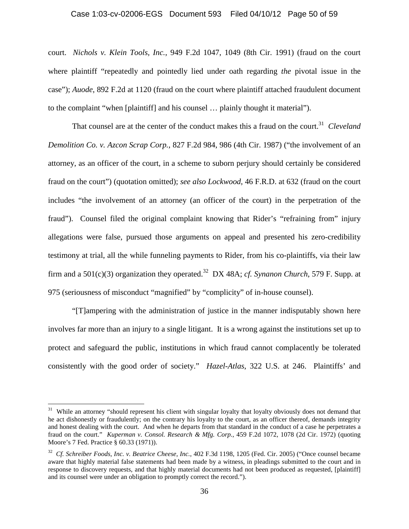#### Case 1:03-cv-02006-EGS Document 593 Filed 04/10/12 Page 50 of 59

court. *Nichols v. Klein Tools, Inc.*, 949 F.2d 1047, 1049 (8th Cir. 1991) (fraud on the court where plaintiff "repeatedly and pointedly lied under oath regarding *the* pivotal issue in the case"); *Auode*, 892 F.2d at 1120 (fraud on the court where plaintiff attached fraudulent document to the complaint "when [plaintiff] and his counsel … plainly thought it material").

That counsel are at the center of the conduct makes this a fraud on the court.<sup>31</sup> *Cleveland Demolition Co. v. Azcon Scrap Corp.*, 827 F.2d 984, 986 (4th Cir. 1987) ("the involvement of an attorney, as an officer of the court, in a scheme to suborn perjury should certainly be considered fraud on the court") (quotation omitted); *see also Lockwood*, 46 F.R.D. at 632 (fraud on the court includes "the involvement of an attorney (an officer of the court) in the perpetration of the fraud"). Counsel filed the original complaint knowing that Rider's "refraining from" injury allegations were false, pursued those arguments on appeal and presented his zero-credibility testimony at trial, all the while funneling payments to Rider, from his co-plaintiffs, via their law firm and a  $501(c)(3)$  organization they operated.<sup>32</sup> DX 48A; *cf. Synanon Church*, 579 F. Supp. at 975 (seriousness of misconduct "magnified" by "complicity" of in-house counsel).

"[T]ampering with the administration of justice in the manner indisputably shown here involves far more than an injury to a single litigant. It is a wrong against the institutions set up to protect and safeguard the public, institutions in which fraud cannot complacently be tolerated consistently with the good order of society." *Hazel-Atlas*, 322 U.S. at 246. Plaintiffs' and

 $31$  While an attorney "should represent his client with singular loyalty that loyalty obviously does not demand that he act dishonestly or fraudulently; on the contrary his loyalty to the court, as an officer thereof, demands integrity and honest dealing with the court. And when he departs from that standard in the conduct of a case he perpetrates a fraud on the court." *Kuperman v. Consol. Research & Mfg. Corp.*, 459 F.2d 1072, 1078 (2d Cir. 1972) (quoting Moore's 7 Fed. Practice § 60.33 (1971)).

<sup>32</sup> *Cf. Schreiber Foods, Inc. v. Beatrice Cheese, Inc.*, 402 F.3d 1198, 1205 (Fed. Cir. 2005) ("Once counsel became aware that highly material false statements had been made by a witness, in pleadings submitted to the court and in response to discovery requests, and that highly material documents had not been produced as requested, [plaintiff] and its counsel were under an obligation to promptly correct the record.").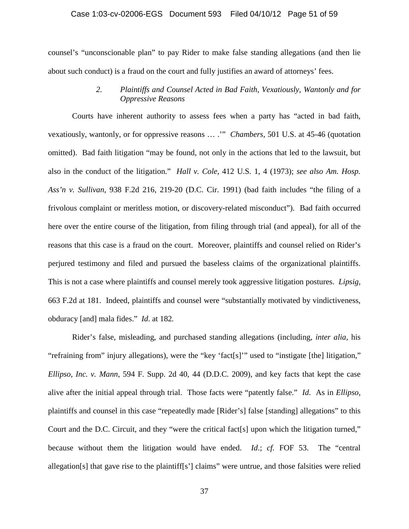#### Case 1:03-cv-02006-EGS Document 593 Filed 04/10/12 Page 51 of 59

counsel's "unconscionable plan" to pay Rider to make false standing allegations (and then lie about such conduct) is a fraud on the court and fully justifies an award of attorneys' fees.

# *2. Plaintiffs and Counsel Acted in Bad Faith, Vexatiously, Wantonly and for Oppressive Reasons*

Courts have inherent authority to assess fees when a party has "acted in bad faith, vexatiously, wantonly, or for oppressive reasons … .'" *Chambers*, 501 U.S. at 45-46 (quotation omitted). Bad faith litigation "may be found, not only in the actions that led to the lawsuit, but also in the conduct of the litigation." *Hall v. Cole*, 412 U.S. 1, 4 (1973); *see also Am. Hosp. Ass'n v. Sullivan*, 938 F.2d 216, 219-20 (D.C. Cir. 1991) (bad faith includes "the filing of a frivolous complaint or meritless motion, or discovery-related misconduct"). Bad faith occurred here over the entire course of the litigation, from filing through trial (and appeal), for all of the reasons that this case is a fraud on the court. Moreover, plaintiffs and counsel relied on Rider's perjured testimony and filed and pursued the baseless claims of the organizational plaintiffs. This is not a case where plaintiffs and counsel merely took aggressive litigation postures. *Lipsig*, 663 F.2d at 181. Indeed, plaintiffs and counsel were "substantially motivated by vindictiveness, obduracy [and] mala fides." *Id*. at 182*.*

Rider's false, misleading, and purchased standing allegations (including, *inter alia*, his "refraining from" injury allegations), were the "key 'fact[s]'" used to "instigate [the] litigation," *Ellipso, Inc. v. Mann*, 594 F. Supp. 2d 40, 44 (D.D.C. 2009), and key facts that kept the case alive after the initial appeal through trial. Those facts were "patently false." *Id*. As in *Ellipso*, plaintiffs and counsel in this case "repeatedly made [Rider's] false [standing] allegations" to this Court and the D.C. Circuit, and they "were the critical fact[s] upon which the litigation turned," because without them the litigation would have ended. *Id*.; *cf.* FOF 53. The "central allegation[s] that gave rise to the plaintiff[s'] claims" were untrue, and those falsities were relied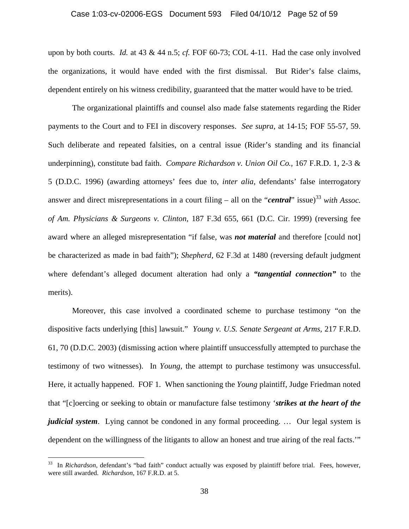#### Case 1:03-cv-02006-EGS Document 593 Filed 04/10/12 Page 52 of 59

upon by both courts. *Id.* at 43 & 44 n.5; *cf.* FOF 60-73; COL 4-11. Had the case only involved the organizations, it would have ended with the first dismissal. But Rider's false claims, dependent entirely on his witness credibility, guaranteed that the matter would have to be tried.

The organizational plaintiffs and counsel also made false statements regarding the Rider payments to the Court and to FEI in discovery responses. *See supra*, at 14-15; FOF 55-57, 59. Such deliberate and repeated falsities, on a central issue (Rider's standing and its financial underpinning), constitute bad faith. *Compare Richardson v. Union Oil Co.*, 167 F.R.D. 1, 2-3 & 5 (D.D.C. 1996) (awarding attorneys' fees due to, *inter alia*, defendants' false interrogatory answer and direct misrepresentations in a court filing – all on the "*central*" issue)<sup>33</sup> *with Assoc. of Am. Physicians & Surgeons v. Clinton,* 187 F.3d 655, 661 (D.C. Cir. 1999) (reversing fee award where an alleged misrepresentation "if false, was *not material* and therefore [could not] be characterized as made in bad faith"); *Shepherd,* 62 F.3d at 1480 (reversing default judgment where defendant's alleged document alteration had only a *"tangential connection"* to the merits).

Moreover, this case involved a coordinated scheme to purchase testimony "on the dispositive facts underlying [this] lawsuit." *Young v. U.S. Senate Sergeant at Arms,* 217 F.R.D. 61, 70 (D.D.C. 2003) (dismissing action where plaintiff unsuccessfully attempted to purchase the testimony of two witnesses). In *Young*, the attempt to purchase testimony was unsuccessful. Here, it actually happened. FOF 1. When sanctioning the *Young* plaintiff, Judge Friedman noted that "[c]oercing or seeking to obtain or manufacture false testimony '*strikes at the heart of the judicial system*. Lying cannot be condoned in any formal proceeding. … Our legal system is dependent on the willingness of the litigants to allow an honest and true airing of the real facts.'"

1

<sup>33</sup> In *Richardson*, defendant's "bad faith" conduct actually was exposed by plaintiff before trial. Fees, however, were still awarded. *Richardson,* 167 F.R.D. at 5.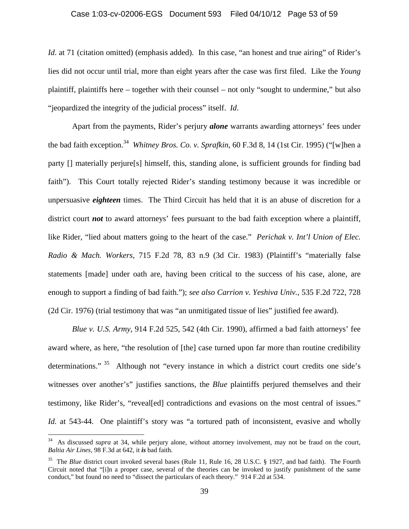#### Case 1:03-cv-02006-EGS Document 593 Filed 04/10/12 Page 53 of 59

*Id.* at 71 (citation omitted) (emphasis added). In this case, "an honest and true airing" of Rider's lies did not occur until trial, more than eight years after the case was first filed. Like the *Young* plaintiff, plaintiffs here – together with their counsel – not only "sought to undermine," but also "jeopardized the integrity of the judicial process" itself. *Id*.

Apart from the payments, Rider's perjury *alone* warrants awarding attorneys' fees under the bad faith exception.<sup>34</sup> *Whitney Bros. Co. v. Sprafkin*, 60 F.3d 8, 14 (1st Cir. 1995) ("[w]hen a party [] materially perjure[s] himself, this, standing alone, is sufficient grounds for finding bad faith"). This Court totally rejected Rider's standing testimony because it was incredible or unpersuasive *eighteen* times. The Third Circuit has held that it is an abuse of discretion for a district court *not* to award attorneys' fees pursuant to the bad faith exception where a plaintiff, like Rider, "lied about matters going to the heart of the case." *Perichak v. Int'l Union of Elec. Radio & Mach. Workers*, 715 F.2d 78, 83 n.9 (3d Cir. 1983) (Plaintiff's "materially false statements [made] under oath are, having been critical to the success of his case, alone, are enough to support a finding of bad faith."); *see also Carrion v. Yeshiva Univ.*, 535 F.2d 722, 728 (2d Cir. 1976) (trial testimony that was "an unmitigated tissue of lies" justified fee award).

*Blue v. U.S. Army*, 914 F.2d 525, 542 (4th Cir. 1990), affirmed a bad faith attorneys' fee award where, as here, "the resolution of [the] case turned upon far more than routine credibility determinations."<sup>35</sup> Although not "every instance in which a district court credits one side's witnesses over another's" justifies sanctions, the *Blue* plaintiffs perjured themselves and their testimony, like Rider's, "reveal[ed] contradictions and evasions on the most central of issues." Id. at 543-44. One plaintiff's story was "a tortured path of inconsistent, evasive and wholly

<sup>34</sup> As discussed *supra* at 34, while perjury alone, without attorney involvement, may not be fraud on the court, *Baltia Air Lines,* 98 F.3d at 642, it *is* bad faith.

<sup>35</sup> The *Blue* district court invoked several bases (Rule 11, Rule 16, 28 U.S.C. § 1927, and bad faith). The Fourth Circuit noted that "[i]n a proper case, several of the theories can be invoked to justify punishment of the same conduct," but found no need to "dissect the particulars of each theory." 914 F.2d at 534.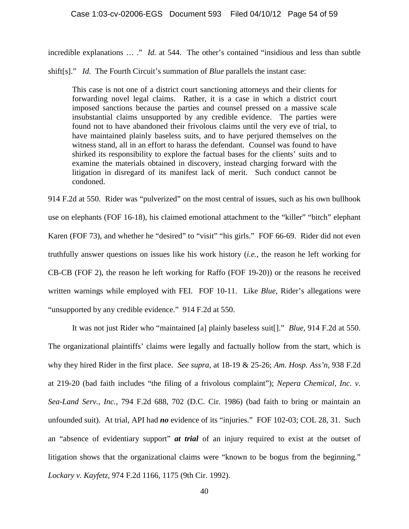incredible explanations … ." *Id.* at 544. The other's contained "insidious and less than subtle

shift[s]." *Id.* The Fourth Circuit's summation of *Blue* parallels the instant case:

This case is not one of a district court sanctioning attorneys and their clients for forwarding novel legal claims. Rather, it is a case in which a district court imposed sanctions because the parties and counsel pressed on a massive scale insubstantial claims unsupported by any credible evidence. The parties were found not to have abandoned their frivolous claims until the very eve of trial, to have maintained plainly baseless suits, and to have perjured themselves on the witness stand, all in an effort to harass the defendant. Counsel was found to have shirked its responsibility to explore the factual bases for the clients' suits and to examine the materials obtained in discovery, instead charging forward with the litigation in disregard of its manifest lack of merit. Such conduct cannot be condoned.

914 F.2d at 550. Rider was "pulverized" on the most central of issues, such as his own bullhook use on elephants (FOF 16-18), his claimed emotional attachment to the "killer" "bitch" elephant Karen (FOF 73), and whether he "desired" to "visit" "his girls." FOF 66-69. Rider did not even truthfully answer questions on issues like his work history (*i.e.*, the reason he left working for CB-CB (FOF 2), the reason he left working for Raffo (FOF 19-20)) or the reasons he received written warnings while employed with FEI. FOF 10-11. Like *Blue*, Rider's allegations were "unsupported by any credible evidence." 914 F.2d at 550.

It was not just Rider who "maintained [a] plainly baseless suit[]." *Blue*, 914 F.2d at 550. The organizational plaintiffs' claims were legally and factually hollow from the start, which is why they hired Rider in the first place. *See supra*, at 18-19 & 25-26; *Am. Hosp. Ass'n*, 938 F.2d at 219-20 (bad faith includes "the filing of a frivolous complaint"); *Nepera Chemical, Inc. v. Sea-Land Serv., Inc.*, 794 F.2d 688, 702 (D.C. Cir. 1986) (bad faith to bring or maintain an unfounded suit). At trial, API had *no* evidence of its "injuries." FOF 102-03; COL 28, 31. Such an "absence of evidentiary support" *at trial* of an injury required to exist at the outset of litigation shows that the organizational claims were "known to be bogus from the beginning." *Lockary v. Kayfetz*, 974 F.2d 1166, 1175 (9th Cir. 1992).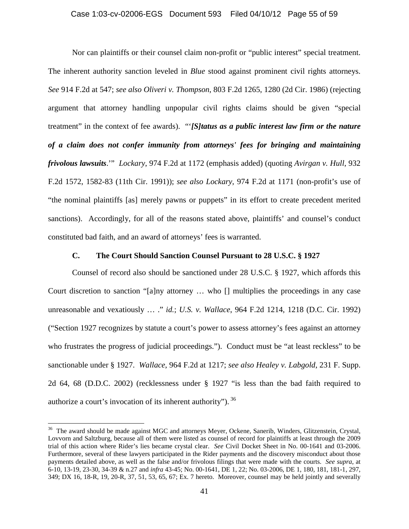Nor can plaintiffs or their counsel claim non-profit or "public interest" special treatment. The inherent authority sanction leveled in *Blue* stood against prominent civil rights attorneys. *See* 914 F.2d at 547; *see also Oliveri v. Thompson*, 803 F.2d 1265, 1280 (2d Cir. 1986) (rejecting argument that attorney handling unpopular civil rights claims should be given "special treatment" in the context of fee awards). "'*[S]tatus as a public interest law firm or the nature of a claim does not confer immunity from attorneys' fees for bringing and maintaining frivolous lawsuits*.'" *Lockary*, 974 F.2d at 1172 (emphasis added) (quoting *Avirgan v. Hull*, 932 F.2d 1572, 1582-83 (11th Cir. 1991)); *see also Lockary*, 974 F.2d at 1171 (non-profit's use of "the nominal plaintiffs [as] merely pawns or puppets" in its effort to create precedent merited sanctions). Accordingly, for all of the reasons stated above, plaintiffs' and counsel's conduct constituted bad faith, and an award of attorneys' fees is warranted.

# **C. The Court Should Sanction Counsel Pursuant to 28 U.S.C. § 1927**

Counsel of record also should be sanctioned under 28 U.S.C. § 1927, which affords this Court discretion to sanction "[a]ny attorney … who [] multiplies the proceedings in any case unreasonable and vexatiously … ." *id.*; *U.S. v. Wallace*, 964 F.2d 1214, 1218 (D.C. Cir. 1992) ("Section 1927 recognizes by statute a court's power to assess attorney's fees against an attorney who frustrates the progress of judicial proceedings."). Conduct must be "at least reckless" to be sanctionable under § 1927. *Wallace*, 964 F.2d at 1217; *see also Healey v. Labgold*, 231 F. Supp. 2d 64, 68 (D.D.C. 2002) (recklessness under § 1927 "is less than the bad faith required to authorize a court's invocation of its inherent authority"). 36

<sup>&</sup>lt;sup>36</sup> The award should be made against MGC and attorneys Meyer, Ockene, Sanerib, Winders, Glitzenstein, Crystal, Lovvorn and Saltzburg, because all of them were listed as counsel of record for plaintiffs at least through the 2009 trial of this action where Rider's lies became crystal clear. *See* Civil Docket Sheet in No. 00-1641 and 03-2006. Furthermore, several of these lawyers participated in the Rider payments and the discovery misconduct about those payments detailed above, as well as the false and/or frivolous filings that were made with the courts. *See supra*, at 6-10, 13-19, 23-30, 34-39 & n.27 and *infra* 43-45; No. 00-1641, DE 1, 22; No. 03-2006, DE 1, 180, 181, 181-1, 297, 349; DX 16, 18-R, 19, 20-R, 37, 51, 53, 65, 67; Ex. 7 hereto. Moreover, counsel may be held jointly and severally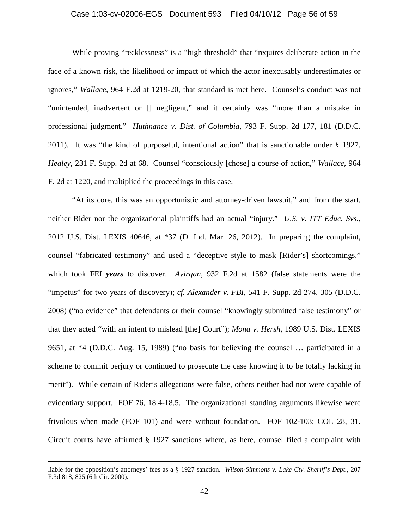#### Case 1:03-cv-02006-EGS Document 593 Filed 04/10/12 Page 56 of 59

While proving "recklessness" is a "high threshold" that "requires deliberate action in the face of a known risk, the likelihood or impact of which the actor inexcusably underestimates or ignores," *Wallace*, 964 F.2d at 1219-20, that standard is met here. Counsel's conduct was not "unintended, inadvertent or [] negligent," and it certainly was "more than a mistake in professional judgment." *Huthnance v. Dist. of Columbia*, 793 F. Supp. 2d 177, 181 (D.D.C. 2011). It was "the kind of purposeful, intentional action" that is sanctionable under § 1927. *Healey*, 231 F. Supp. 2d at 68. Counsel "consciously [chose] a course of action," *Wallace*, 964 F. 2d at 1220, and multiplied the proceedings in this case.

"At its core, this was an opportunistic and attorney-driven lawsuit," and from the start, neither Rider nor the organizational plaintiffs had an actual "injury." *U.S. v. ITT Educ. Svs.*, 2012 U.S. Dist. LEXIS 40646, at \*37 (D. Ind. Mar. 26, 2012). In preparing the complaint, counsel "fabricated testimony" and used a "deceptive style to mask [Rider's] shortcomings," which took FEI *years* to discover. *Avirgan*, 932 F.2d at 1582 (false statements were the "impetus" for two years of discovery); *cf. Alexander v. FBI*, 541 F. Supp. 2d 274, 305 (D.D.C. 2008) ("no evidence" that defendants or their counsel "knowingly submitted false testimony" or that they acted "with an intent to mislead [the] Court"); *Mona v. Hersh*, 1989 U.S. Dist. LEXIS 9651, at \*4 (D.D.C. Aug. 15, 1989) ("no basis for believing the counsel … participated in a scheme to commit perjury or continued to prosecute the case knowing it to be totally lacking in merit"). While certain of Rider's allegations were false, others neither had nor were capable of evidentiary support. FOF 76, 18.4-18.5. The organizational standing arguments likewise were frivolous when made (FOF 101) and were without foundation. FOF 102-103; COL 28, 31. Circuit courts have affirmed § 1927 sanctions where, as here, counsel filed a complaint with

liable for the opposition's attorneys' fees as a § 1927 sanction. *Wilson-Simmons v. Lake Cty. Sheriff's Dept.*, 207 F.3d 818, 825 (6th Cir. 2000).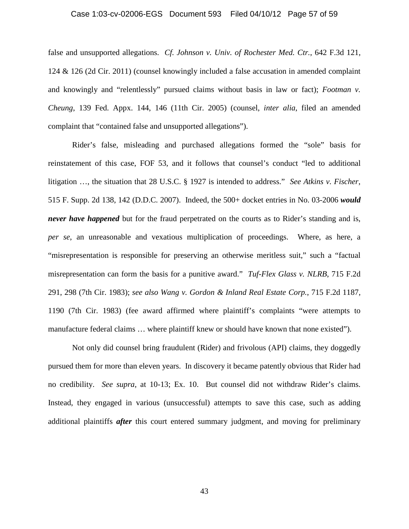#### Case 1:03-cv-02006-EGS Document 593 Filed 04/10/12 Page 57 of 59

false and unsupported allegations. *Cf. Johnson v. Univ. of Rochester Med. Ctr.*, 642 F.3d 121, 124 & 126 (2d Cir. 2011) (counsel knowingly included a false accusation in amended complaint and knowingly and "relentlessly" pursued claims without basis in law or fact); *Footman v. Cheung*, 139 Fed. Appx. 144, 146 (11th Cir. 2005) (counsel, *inter alia*, filed an amended complaint that "contained false and unsupported allegations").

Rider's false, misleading and purchased allegations formed the "sole" basis for reinstatement of this case, FOF 53, and it follows that counsel's conduct "led to additional litigation …, the situation that 28 U.S.C. § 1927 is intended to address." *See Atkins v. Fischer*, 515 F. Supp. 2d 138, 142 (D.D.C. 2007). Indeed, the 500+ docket entries in No. 03-2006 *would never have happened* but for the fraud perpetrated on the courts as to Rider's standing and is, *per se*, an unreasonable and vexatious multiplication of proceedings. Where, as here, a "misrepresentation is responsible for preserving an otherwise meritless suit," such a "factual misrepresentation can form the basis for a punitive award." *Tuf-Flex Glass v. NLRB*, 715 F.2d 291, 298 (7th Cir. 1983); *see also Wang v. Gordon & Inland Real Estate Corp.*, 715 F.2d 1187, 1190 (7th Cir. 1983) (fee award affirmed where plaintiff's complaints "were attempts to manufacture federal claims ... where plaintiff knew or should have known that none existed").

Not only did counsel bring fraudulent (Rider) and frivolous (API) claims, they doggedly pursued them for more than eleven years. In discovery it became patently obvious that Rider had no credibility. *See supra*, at 10-13; Ex. 10. But counsel did not withdraw Rider's claims. Instead, they engaged in various (unsuccessful) attempts to save this case, such as adding additional plaintiffs *after* this court entered summary judgment, and moving for preliminary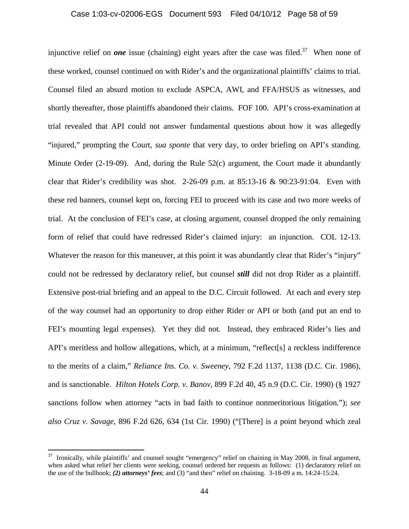#### Case 1:03-cv-02006-EGS Document 593 Filed 04/10/12 Page 58 of 59

injunctive relief on *one* issue (chaining) eight years after the case was filed.<sup>37</sup> When none of these worked, counsel continued on with Rider's and the organizational plaintiffs' claims to trial. Counsel filed an absurd motion to exclude ASPCA, AWI, and FFA/HSUS as witnesses, and shortly thereafter, those plaintiffs abandoned their claims. FOF 100. API's cross-examination at trial revealed that API could not answer fundamental questions about how it was allegedly "injured," prompting the Court, *sua sponte* that very day, to order briefing on API's standing. Minute Order (2-19-09). And, during the Rule 52(c) argument, the Court made it abundantly clear that Rider's credibility was shot.  $2\n-26\n-09$  p.m. at  $85:13\n-16 \& 90:23\n-91:04$ . Even with these red banners, counsel kept on, forcing FEI to proceed with its case and two more weeks of trial. At the conclusion of FEI's case, at closing argument, counsel dropped the only remaining form of relief that could have redressed Rider's claimed injury: an injunction. COL 12-13. Whatever the reason for this maneuver, at this point it was abundantly clear that Rider's "injury" could not be redressed by declaratory relief, but counsel *still* did not drop Rider as a plaintiff. Extensive post-trial briefing and an appeal to the D.C. Circuit followed. At each and every step of the way counsel had an opportunity to drop either Rider or API or both (and put an end to FEI's mounting legal expenses). Yet they did not. Instead, they embraced Rider's lies and API's meritless and hollow allegations, which, at a minimum, "reflect[s] a reckless indifference to the merits of a claim," *Reliance Ins. Co. v. Sweeney*, 792 F.2d 1137, 1138 (D.C. Cir. 1986), and is sanctionable. *Hilton Hotels Corp. v. Banov*, 899 F.2d 40, 45 n.9 (D.C. Cir. 1990) (§ 1927 sanctions follow when attorney "acts in bad faith to continue nonmeritorious litigation."); *see also Cruz v. Savage*, 896 F.2d 626, 634 (1st Cir. 1990) ("[There] is a point beyond which zeal

1

 $37$  Ironically, while plaintiffs' and counsel sought "emergency" relief on chaining in May 2008, in final argument, when asked what relief her clients were seeking, counsel ordered her requests as follows: (1) declaratory relief on the use of the bullhook; *(2) attorneys' fees*; and (3) "and then" relief on chaining. 3-18-09 a m. 14:24-15:24.